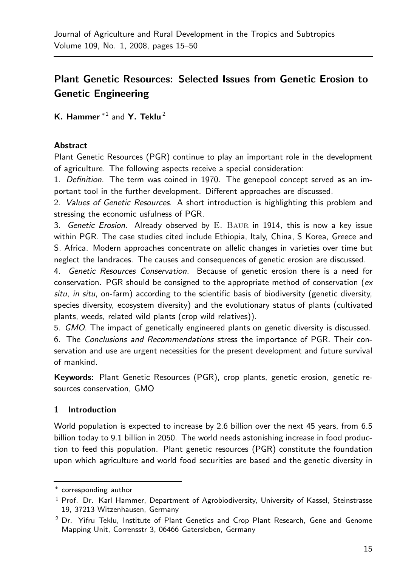# **Plant Genetic Resources: Selected Issues from Genetic Erosion to Genetic Engineering**

**K. Hammer** <sup>∗</sup><sup>1</sup> and **Y. Teklu** <sup>2</sup>

## **Abstract**

Plant Genetic Resources (PGR) continue to play an important role in the development of agriculture. The following aspects receive a special consideration:

1. Definition. The term was coined in 1970. The genepool concept served as an important tool in the further development. Different approaches are discussed.

2. Values of Genetic Resources. A short introduction is highlighting this problem and stressing the economic usfulness of PGR.

3. Genetic Erosion. Already observed by  $E$ . BAUR in 1914, this is now a key issue within PGR. The case studies cited include Ethiopia, Italy, China, S Korea, Greece and S. Africa. Modern approaches concentrate on allelic changes in varieties over time but neglect the landraces. The causes and consequences of genetic erosion are discussed.

4. Genetic Resources Conservation. Because of genetic erosion there is a need for conservation. PGR should be consigned to the appropriate method of conservation ( $ex$ situ, in situ, on-farm) according to the scientific basis of biodiversity (genetic diversity, species diversity, ecosystem diversity) and the evolutionary status of plants (cultivated plants, weeds, related wild plants (crop wild relatives)).

5. GMO. The impact of genetically engineered plants on genetic diversity is discussed.

6. The Conclusions and Recommendations stress the importance of PGR. Their conservation and use are urgent necessities for the present development and future survival of mankind.

**Keywords:** Plant Genetic Resources (PGR), crop plants, genetic erosion, genetic resources conservation, GMO

# **1 Introduction**

World population is expected to increase by 2.6 billion over the next 45 years, from 6.5 billion today to 9.1 billion in 2050. The world needs astonishing increase in food production to feed this population. Plant genetic resources (PGR) constitute the foundation upon which agriculture and world food securities are based and the genetic diversity in

<sup>∗</sup> corresponding author

 $<sup>1</sup>$  Prof. Dr. Karl Hammer, Department of Agrobiodiversity, University of Kassel, Steinstrasse</sup> 19, 37213 Witzenhausen, Germany

 $2$  Dr. Yifru Teklu, Institute of Plant Genetics and Crop Plant Research, Gene and Genome Mapping Unit, Corrensstr 3, 06466 Gatersleben, Germany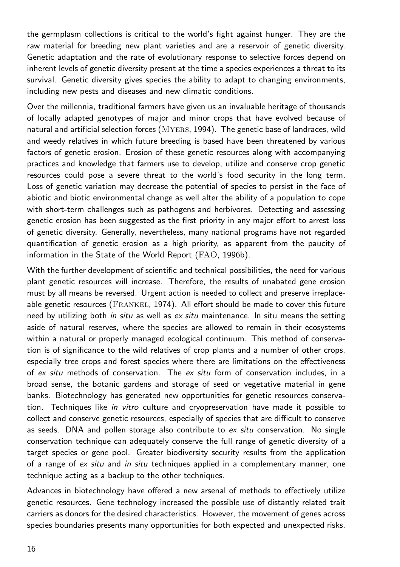the germplasm collections is critical to the world's fight against hunger. They are the raw material for breeding new plant varieties and are a reservoir of genetic diversity. Genetic adaptation and the rate of evolutionary response to selective forces depend on inherent levels of genetic diversity present at the time a species experiences a threat to its survival. Genetic diversity gives species the ability to adapt to changing environments, including new pests and diseases and new climatic conditions.

Over the millennia, traditional farmers have given us an invaluable heritage of thousands of locally adapted genotypes of major and minor crops that have evolved because of natural and artificial selection forces (Myers, 1994). The genetic base of landraces, wild and weedy relatives in which future breeding is based have been threatened by various factors of genetic erosion. Erosion of these genetic resources along with accompanying practices and knowledge that farmers use to develop, utilize and conserve crop genetic resources could pose a severe threat to the world's food security in the long term. Loss of genetic variation may decrease the potential of species to persist in the face of abiotic and biotic environmental change as well alter the ability of a population to cope with short-term challenges such as pathogens and herbivores. Detecting and assessing genetic erosion has been suggested as the first priority in any major effort to arrest loss of genetic diversity. Generally, nevertheless, many national programs have not regarded quantification of genetic erosion as a high priority, as apparent from the paucity of information in the State of the World Report (FAO, 1996b).

With the further development of scientific and technical possibilities, the need for various plant genetic resources will increase. Therefore, the results of unabated gene erosion must by all means be reversed. Urgent action is needed to collect and preserve irreplaceable genetic resources (FRANKEL, 1974). All effort should be made to cover this future need by utilizing both in situ as well as ex situ maintenance. In situ means the setting aside of natural reserves, where the species are allowed to remain in their ecosystems within a natural or properly managed ecological continuum. This method of conservation is of significance to the wild relatives of crop plants and a number of other crops, especially tree crops and forest species where there are limitations on the effectiveness of  $ex$  situ methods of conservation. The  $ex$  situ form of conservation includes, in a broad sense, the botanic gardens and storage of seed or vegetative material in gene banks. Biotechnology has generated new opportunities for genetic resources conservation. Techniques like in vitro culture and cryopreservation have made it possible to collect and conserve genetic resources, especially of species that are difficult to conserve as seeds. DNA and pollen storage also contribute to ex situ conservation. No single conservation technique can adequately conserve the full range of genetic diversity of a target species or gene pool. Greater biodiversity security results from the application of a range of ex situ and in situ techniques applied in a complementary manner, one technique acting as a backup to the other techniques.

Advances in biotechnology have offered a new arsenal of methods to effectively utilize genetic resources. Gene technology increased the possible use of distantly related trait carriers as donors for the desired characteristics. However, the movement of genes across species boundaries presents many opportunities for both expected and unexpected risks.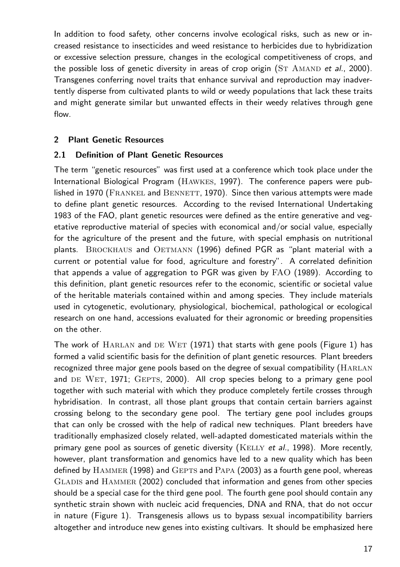In addition to food safety, other concerns involve ecological risks, such as new or increased resistance to insecticides and weed resistance to herbicides due to hybridization or excessive selection pressure, changes in the ecological competitiveness of crops, and the possible loss of genetic diversity in areas of crop origin  $(ST \text{ AMAND} \text{ et al.}, 2000)$ . Transgenes conferring novel traits that enhance survival and reproduction may inadvertently disperse from cultivated plants to wild or weedy populations that lack these traits and might generate similar but unwanted effects in their weedy relatives through gene flow.

## **2 Plant Genetic Resources**

## **2.1 Definition of Plant Genetic Resources**

The term "genetic resources" was first used at a conference which took place under the International Biological Program (Hawkes, 1997). The conference papers were published in 1970 (FRANKEL and BENNETT, 1970). Since then various attempts were made to define plant genetic resources. According to the revised International Undertaking 1983 of the FAO, plant genetic resources were defined as the entire generative and vegetative reproductive material of species with economical and/or social value, especially for the agriculture of the present and the future, with special emphasis on nutritional plants. BROCKHAUS and OETMANN (1996) defined PGR as "plant material with a current or potential value for food, agriculture and forestry". A correlated definition that appends a value of aggregation to PGR was given by FAO (1989). According to this definition, plant genetic resources refer to the economic, scientific or societal value of the heritable materials contained within and among species. They include materials used in cytogenetic, evolutionary, physiological, biochemical, pathological or ecological research on one hand, accessions evaluated for their agronomic or breeding propensities on the other.

The work of  $HARLAN$  and DE WET (1971) that starts with gene pools (Figure 1) has formed a valid scientific basis for the definition of plant genetic resources. Plant breeders recognized three major gene pools based on the degree of sexual compatibility (HARLAN and DE WET, 1971; GEPTS, 2000). All crop species belong to a primary gene pool together with such material with which they produce completely fertile crosses through hybridisation. In contrast, all those plant groups that contain certain barriers against crossing belong to the secondary gene pool. The tertiary gene pool includes groups that can only be crossed with the help of radical new techniques. Plant breeders have traditionally emphasized closely related, well-adapted domesticated materials within the primary gene pool as sources of genetic diversity ( $KELLY$  et al., 1998). More recently, however, plant transformation and genomics have led to a new quality which has been defined by  $HAMMER$  (1998) and  $G$ EPTS and  $PAPA$  (2003) as a fourth gene pool, whereas GLADIS and HAMMER (2002) concluded that information and genes from other species should be a special case for the third gene pool. The fourth gene pool should contain any synthetic strain shown with nucleic acid frequencies, DNA and RNA, that do not occur in nature (Figure 1). Transgenesis allows us to bypass sexual incompatibility barriers altogether and introduce new genes into existing cultivars. It should be emphasized here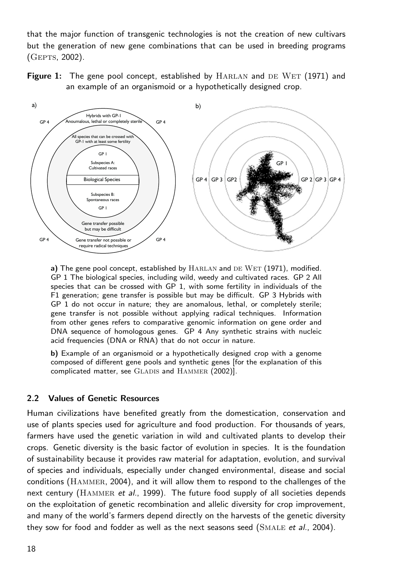that the major function of transgenic technologies is not the creation of new cultivars but the generation of new gene combinations that can be used in breeding programs (Gepts, 2002).

**Figure 1:** The gene pool concept, established by HARLAN and DE WET (1971) and an example of an organismoid or a hypothetically designed crop.



**a)** The gene pool concept, established by HARLAN and DE WET (1971), modified. GP 1 The biological species, including wild, weedy and cultivated races. GP 2 All species that can be crossed with GP 1, with some fertility in individuals of the F1 generation; gene transfer is possible but may be difficult. GP 3 Hybrids with GP 1 do not occur in nature; they are anomalous, lethal, or completely sterile; gene transfer is not possible without applying radical techniques. Information from other genes refers to comparative genomic information on gene order and DNA sequence of homologous genes. GP 4 Any synthetic strains with nucleic acid frequencies (DNA or RNA) that do not occur in nature.

**b)** Example of an organismoid or a hypothetically designed crop with a genome composed of different gene pools and synthetic genes [for the explanation of this complicated matter, see GLADIS and HAMMER (2002)].

## **2.2 Values of Genetic Resources**

Human civilizations have benefited greatly from the domestication, conservation and use of plants species used for agriculture and food production. For thousands of years, farmers have used the genetic variation in wild and cultivated plants to develop their crops. Genetic diversity is the basic factor of evolution in species. It is the foundation of sustainability because it provides raw material for adaptation, evolution, and survival of species and individuals, especially under changed environmental, disease and social conditions (Hammer, 2004), and it will allow them to respond to the challenges of the next century (HAMMER et al., 1999). The future food supply of all societies depends on the exploitation of genetic recombination and allelic diversity for crop improvement, and many of the world's farmers depend directly on the harvests of the genetic diversity they sow for food and fodder as well as the next seasons seed (SMALE et al., 2004).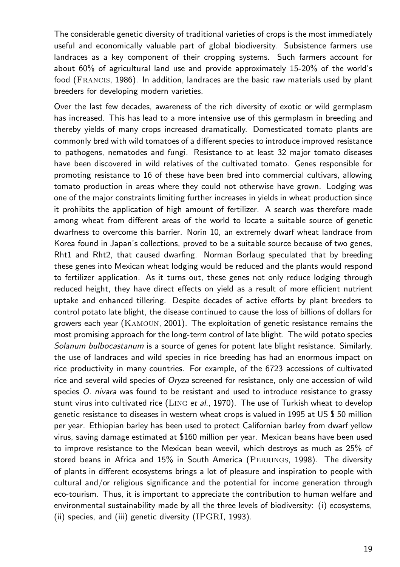The considerable genetic diversity of traditional varieties of crops is the most immediately useful and economically valuable part of global biodiversity. Subsistence farmers use landraces as a key component of their cropping systems. Such farmers account for about 60% of agricultural land use and provide approximately 15-20% of the world's food (Francis, 1986). In addition, landraces are the basic raw materials used by plant breeders for developing modern varieties.

Over the last few decades, awareness of the rich diversity of exotic or wild germplasm has increased. This has lead to a more intensive use of this germplasm in breeding and thereby yields of many crops increased dramatically. Domesticated tomato plants are commonly bred with wild tomatoes of a different species to introduce improved resistance to pathogens, nematodes and fungi. Resistance to at least 32 major tomato diseases have been discovered in wild relatives of the cultivated tomato. Genes responsible for promoting resistance to 16 of these have been bred into commercial cultivars, allowing tomato production in areas where they could not otherwise have grown. Lodging was one of the major constraints limiting further increases in yields in wheat production since it prohibits the application of high amount of fertilizer. A search was therefore made among wheat from different areas of the world to locate a suitable source of genetic dwarfness to overcome this barrier. Norin 10, an extremely dwarf wheat landrace from Korea found in Japan's collections, proved to be a suitable source because of two genes, Rht1 and Rht2, that caused dwarfing. Norman Borlaug speculated that by breeding these genes into Mexican wheat lodging would be reduced and the plants would respond to fertilizer application. As it turns out, these genes not only reduce lodging through reduced height, they have direct effects on yield as a result of more efficient nutrient uptake and enhanced tillering. Despite decades of active efforts by plant breeders to control potato late blight, the disease continued to cause the loss of billions of dollars for growers each year (Kamoun, 2001). The exploitation of genetic resistance remains the most promising approach for the long-term control of late blight. The wild potato species Solanum bulbocastanum is a source of genes for potent late blight resistance. Similarly, the use of landraces and wild species in rice breeding has had an enormous impact on rice productivity in many countries. For example, of the 6723 accessions of cultivated rice and several wild species of Oryza screened for resistance, only one accession of wild species O. nivara was found to be resistant and used to introduce resistance to grassy stunt virus into cultivated rice  $(LING et al., 1970)$ . The use of Turkish wheat to develop genetic resistance to diseases in western wheat crops is valued in 1995 at US \$ 50 million per year. Ethiopian barley has been used to protect Californian barley from dwarf yellow virus, saving damage estimated at \$160 million per year. Mexican beans have been used to improve resistance to the Mexican bean weevil, which destroys as much as 25% of stored beans in Africa and 15% in South America (PERRINGS, 1998). The diversity of plants in different ecosystems brings a lot of pleasure and inspiration to people with cultural and/or religious significance and the potential for income generation through eco-tourism. Thus, it is important to appreciate the contribution to human welfare and environmental sustainability made by all the three levels of biodiversity: (i) ecosystems, (ii) species, and (iii) genetic diversity (IPGRI, 1993).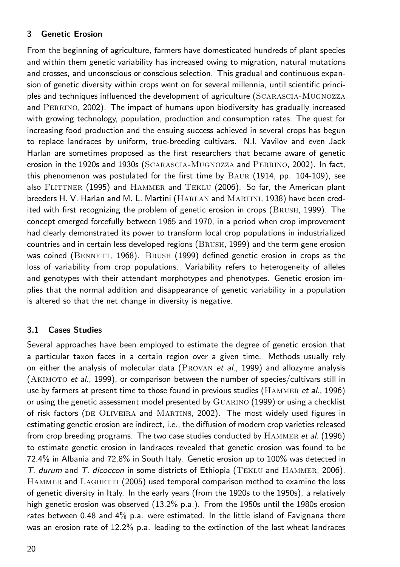# **3 Genetic Erosion**

From the beginning of agriculture, farmers have domesticated hundreds of plant species and within them genetic variability has increased owing to migration, natural mutations and crosses, and unconscious or conscious selection. This gradual and continuous expansion of genetic diversity within crops went on for several millennia, until scientific principles and techniques influenced the development of agriculture (SCARASCIA-MUGNOZZA and PERRINO, 2002). The impact of humans upon biodiversity has gradually increased with growing technology, population, production and consumption rates. The quest for increasing food production and the ensuing success achieved in several crops has begun to replace landraces by uniform, true-breeding cultivars. N.I. Vavilov and even Jack Harlan are sometimes proposed as the first researchers that became aware of genetic erosion in the 1920s and 1930s (Scarascia-Mugnozza and Perrino, 2002). In fact, this phenomenon was postulated for the first time by Baur (1914, pp. 104-109), see also FLITTNER (1995) and HAMMER and TEKLU (2006). So far, the American plant breeders H. V. Harlan and M. L. Martini (Harlan and Martini, 1938) have been credited with first recognizing the problem of genetic erosion in crops (Brush, 1999). The concept emerged forcefully between 1965 and 1970, in a period when crop improvement had clearly demonstrated its power to transform local crop populations in industrialized countries and in certain less developed regions (Brush, 1999) and the term gene erosion was coined ( $B$ ENNETT, 1968). BRUSH (1999) defined genetic erosion in crops as the loss of variability from crop populations. Variability refers to heterogeneity of alleles and genotypes with their attendant morphotypes and phenotypes. Genetic erosion implies that the normal addition and disappearance of genetic variability in a population is altered so that the net change in diversity is negative.

# **3.1 Cases Studies**

Several approaches have been employed to estimate the degree of genetic erosion that a particular taxon faces in a certain region over a given time. Methods usually rely on either the analysis of molecular data ( $PROVAN$  et al., 1999) and allozyme analysis (AKIMOTO et al., 1999), or comparison between the number of species/cultivars still in use by farmers at present time to those found in previous studies ( $HAMMER$  et al., 1996) or using the genetic assessment model presented by Guarino (1999) or using a checklist of risk factors (de Oliveira and Martins, 2002). The most widely used figures in estimating genetic erosion are indirect, i.e., the diffusion of modern crop varieties released from crop breeding programs. The two case studies conducted by HAMMER et al. (1996) to estimate genetic erosion in landraces revealed that genetic erosion was found to be 72.4% in Albania and 72.8% in South Italy. Genetic erosion up to 100% was detected in T. durum and T. dicoccon in some districts of Ethiopia (TEKLU and HAMMER, 2006). HAMMER and LAGHETTI (2005) used temporal comparison method to examine the loss of genetic diversity in Italy. In the early years (from the 1920s to the 1950s), a relatively high genetic erosion was observed (13.2% p.a.). From the 1950s until the 1980s erosion rates between 0.48 and 4% p.a. were estimated. In the little island of Favignana there was an erosion rate of 12.2% p.a. leading to the extinction of the last wheat landraces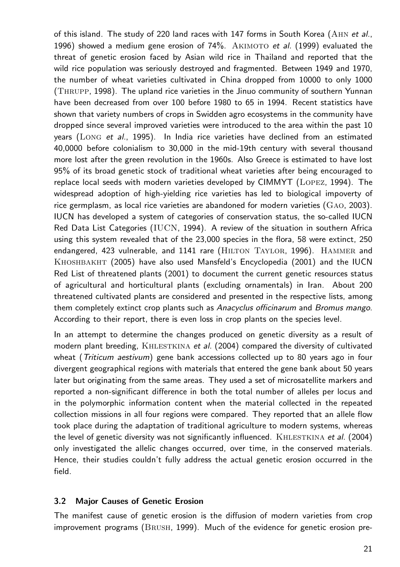of this island. The study of 220 land races with 147 forms in South Korea (AHN et al., 1996) showed a medium gene erosion of  $74\%$ . AKIMOTO et al. (1999) evaluated the threat of genetic erosion faced by Asian wild rice in Thailand and reported that the wild rice population was seriously destroyed and fragmented. Between 1949 and 1970, the number of wheat varieties cultivated in China dropped from 10000 to only 1000 (Thrupp, 1998). The upland rice varieties in the Jinuo community of southern Yunnan have been decreased from over 100 before 1980 to 65 in 1994. Recent statistics have shown that variety numbers of crops in Swidden agro ecosystems in the community have dropped since several improved varieties were introduced to the area within the past 10 years (LONG et al., 1995). In India rice varieties have declined from an estimated 40,0000 before colonialism to 30,000 in the mid-19th century with several thousand more lost after the green revolution in the 1960s. Also Greece is estimated to have lost 95% of its broad genetic stock of traditional wheat varieties after being encouraged to replace local seeds with modern varieties developed by CIMMYT (Lopez, 1994). The widespread adoption of high-yielding rice varieties has led to biological impoverty of rice germplasm, as local rice varieties are abandoned for modern varieties (Gao, 2003). IUCN has developed a system of categories of conservation status, the so-called IUCN Red Data List Categories (IUCN, 1994). A review of the situation in southern Africa using this system revealed that of the 23,000 species in the flora, 58 were extinct, 250 endangered, 423 vulnerable, and 1141 rare (HILTON TAYLOR, 1996). HAMMER and Khoshbakht (2005) have also used Mansfeld's Encyclopedia (2001) and the IUCN Red List of threatened plants (2001) to document the current genetic resources status of agricultural and horticultural plants (excluding ornamentals) in Iran. About 200 threatened cultivated plants are considered and presented in the respective lists, among them completely extinct crop plants such as Anacyclus officinarum and Bromus mango. According to their report, there is even loss in crop plants on the species level.

In an attempt to determine the changes produced on genetic diversity as a result of modern plant breeding,  $KHLESTKINA$  et al. (2004) compared the diversity of cultivated wheat (Triticum aestivum) gene bank accessions collected up to 80 years ago in four divergent geographical regions with materials that entered the gene bank about 50 years later but originating from the same areas. They used a set of microsatellite markers and reported a non-significant difference in both the total number of alleles per locus and in the polymorphic information content when the material collected in the repeated collection missions in all four regions were compared. They reported that an allele flow took place during the adaptation of traditional agriculture to modern systems, whereas the level of genetic diversity was not significantly influenced. KHLESTKINA et al. (2004) only investigated the allelic changes occurred, over time, in the conserved materials. Hence, their studies couldn't fully address the actual genetic erosion occurred in the field.

#### **3.2 Major Causes of Genetic Erosion**

The manifest cause of genetic erosion is the diffusion of modern varieties from crop improvement programs (Brush, 1999). Much of the evidence for genetic erosion pre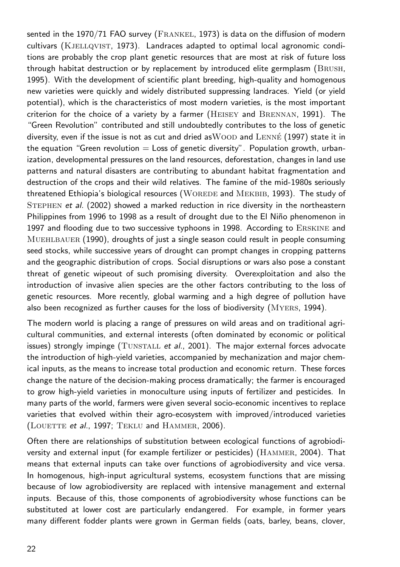sented in the 1970/71 FAO survey (FRANKEL, 1973) is data on the diffusion of modern cultivars (KJELLQVIST, 1973). Landraces adapted to optimal local agronomic conditions are probably the crop plant genetic resources that are most at risk of future loss through habitat destruction or by replacement by introduced elite germplasm (Brush, 1995). With the development of scientific plant breeding, high-quality and homogenous new varieties were quickly and widely distributed suppressing landraces. Yield (or yield potential), which is the characteristics of most modern varieties, is the most important criterion for the choice of a variety by a farmer (HEISEY and BRENNAN, 1991). The "Green Revolution" contributed and still undoubtedly contributes to the loss of genetic diversity, even if the issue is not as cut and dried as $\rm WOOD$  and  $\rm LENN\acute{e}$  (1997) state it in the equation "Green revolution  $=$  Loss of genetic diversity". Population growth, urbanization, developmental pressures on the land resources, deforestation, changes in land use patterns and natural disasters are contributing to abundant habitat fragmentation and destruction of the crops and their wild relatives. The famine of the mid-1980s seriously threatened Ethiopia's biological resources (WOREDE and MEKBIB, 1993). The study of Stephen et al. (2002) showed a marked reduction in rice diversity in the northeastern Philippines from 1996 to 1998 as a result of drought due to the El Niño phenomenon in 1997 and flooding due to two successive typhoons in 1998. According to Erskine and Muehlbauer (1990), droughts of just a single season could result in people consuming seed stocks, while successive years of drought can prompt changes in cropping patterns and the geographic distribution of crops. Social disruptions or wars also pose a constant threat of genetic wipeout of such promising diversity. Overexploitation and also the introduction of invasive alien species are the other factors contributing to the loss of genetic resources. More recently, global warming and a high degree of pollution have also been recognized as further causes for the loss of biodiversity (Myers, 1994).

The modern world is placing a range of pressures on wild areas and on traditional agricultural communities, and external interests (often dominated by economic or political issues) strongly impinge (TUNSTALL et  $al$ ., 2001). The major external forces advocate the introduction of high-yield varieties, accompanied by mechanization and major chemical inputs, as the means to increase total production and economic return. These forces change the nature of the decision-making process dramatically; the farmer is encouraged to grow high-yield varieties in monoculture using inputs of fertilizer and pesticides. In many parts of the world, farmers were given several socio-economic incentives to replace varieties that evolved within their agro-ecosystem with improved/introduced varieties (LOUETTE et al., 1997; TEKLU and HAMMER, 2006).

Often there are relationships of substitution between ecological functions of agrobiodiversity and external input (for example fertilizer or pesticides) (Hammer, 2004). That means that external inputs can take over functions of agrobiodiversity and vice versa. In homogenous, high-input agricultural systems, ecosystem functions that are missing because of low agrobiodiversity are replaced with intensive management and external inputs. Because of this, those components of agrobiodiversity whose functions can be substituted at lower cost are particularly endangered. For example, in former years many different fodder plants were grown in German fields (oats, barley, beans, clover,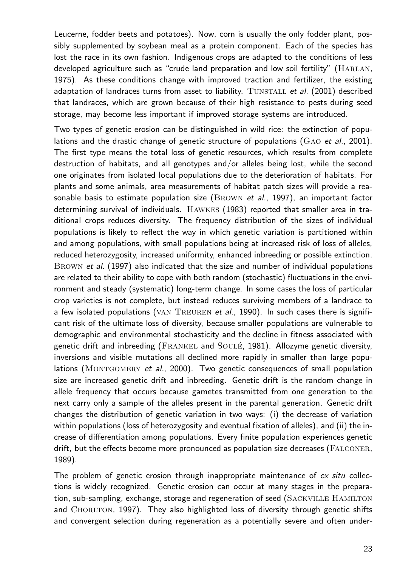Leucerne, fodder beets and potatoes). Now, corn is usually the only fodder plant, possibly supplemented by soybean meal as a protein component. Each of the species has lost the race in its own fashion. Indigenous crops are adapted to the conditions of less developed agriculture such as "crude land preparation and low soil fertility" (HARLAN, 1975). As these conditions change with improved traction and fertilizer, the existing adaptation of landraces turns from asset to liability. TUNSTALL et al.  $(2001)$  described that landraces, which are grown because of their high resistance to pests during seed storage, may become less important if improved storage systems are introduced.

Two types of genetic erosion can be distinguished in wild rice: the extinction of populations and the drastic change of genetic structure of populations  $(GAO et al., 2001)$ . The first type means the total loss of genetic resources, which results from complete destruction of habitats, and all genotypes and/or alleles being lost, while the second one originates from isolated local populations due to the deterioration of habitats. For plants and some animals, area measurements of habitat patch sizes will provide a reasonable basis to estimate population size  $(BROWN et al., 1997)$ , an important factor determining survival of individuals. Hawkes (1983) reported that smaller area in traditional crops reduces diversity. The frequency distribution of the sizes of individual populations is likely to reflect the way in which genetic variation is partitioned within and among populations, with small populations being at increased risk of loss of alleles, reduced heterozygosity, increased uniformity, enhanced inbreeding or possible extinction. BROWN et al. (1997) also indicated that the size and number of individual populations are related to their ability to cope with both random (stochastic) fluctuations in the environment and steady (systematic) long-term change. In some cases the loss of particular crop varieties is not complete, but instead reduces surviving members of a landrace to a few isolated populations (VAN TREUREN et al., 1990). In such cases there is significant risk of the ultimate loss of diversity, because smaller populations are vulnerable to demographic and environmental stochasticity and the decline in fitness associated with genetic drift and inbreeding (FRANKEL and SOULÉ, 1981). Allozyme genetic diversity, inversions and visible mutations all declined more rapidly in smaller than large populations (MONTGOMERY et al., 2000). Two genetic consequences of small population size are increased genetic drift and inbreeding. Genetic drift is the random change in allele frequency that occurs because gametes transmitted from one generation to the next carry only a sample of the alleles present in the parental generation. Genetic drift changes the distribution of genetic variation in two ways: (i) the decrease of variation within populations (loss of heterozygosity and eventual fixation of alleles), and (ii) the increase of differentiation among populations. Every finite population experiences genetic drift, but the effects become more pronounced as population size decreases (FALCONER, 1989).

The problem of genetic erosion through inappropriate maintenance of ex situ collections is widely recognized. Genetic erosion can occur at many stages in the preparation, sub-sampling, exchange, storage and regeneration of seed (SACKVILLE HAMILTON and CHORLTON, 1997). They also highlighted loss of diversity through genetic shifts and convergent selection during regeneration as a potentially severe and often under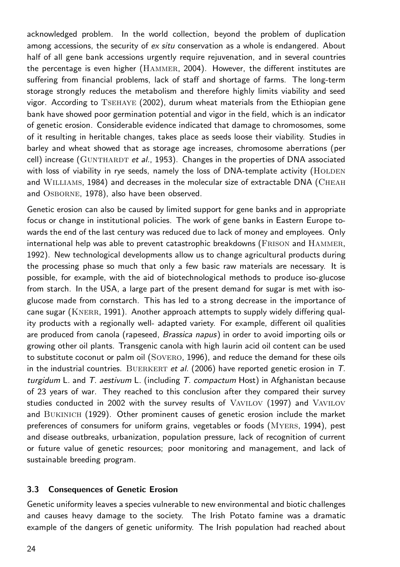acknowledged problem. In the world collection, beyond the problem of duplication among accessions, the security of ex situ conservation as a whole is endangered. About half of all gene bank accessions urgently require rejuvenation, and in several countries the percentage is even higher (Hammer, 2004). However, the different institutes are suffering from financial problems, lack of staff and shortage of farms. The long-term storage strongly reduces the metabolism and therefore highly limits viability and seed vigor. According to Tsehaye (2002), durum wheat materials from the Ethiopian gene bank have showed poor germination potential and vigor in the field, which is an indicator of genetic erosion. Considerable evidence indicated that damage to chromosomes, some of it resulting in heritable changes, takes place as seeds loose their viability. Studies in barley and wheat showed that as storage age increases, chromosome aberrations (per cell) increase ( $G \text{UNTHARDT}$  et al., 1953). Changes in the properties of DNA associated with loss of viability in rye seeds, namely the loss of DNA-template activity (HOLDEN and WILLIAMS, 1984) and decreases in the molecular size of extractable DNA (CHEAH and OSBORNE, 1978), also have been observed.

Genetic erosion can also be caused by limited support for gene banks and in appropriate focus or change in institutional policies. The work of gene banks in Eastern Europe towards the end of the last century was reduced due to lack of money and employees. Only international help was able to prevent catastrophic breakdowns (Frison and Hammer, 1992). New technological developments allow us to change agricultural products during the processing phase so much that only a few basic raw materials are necessary. It is possible, for example, with the aid of biotechnological methods to produce iso-glucose from starch. In the USA, a large part of the present demand for sugar is met with isoglucose made from cornstarch. This has led to a strong decrease in the importance of cane sugar (KNERR, 1991). Another approach attempts to supply widely differing quality products with a regionally well- adapted variety. For example, different oil qualities are produced from canola (rapeseed, Brassica napus) in order to avoid importing oils or growing other oil plants. Transgenic canola with high laurin acid oil content can be used to substitute coconut or palm oil (Sovero, 1996), and reduce the demand for these oils in the industrial countries. BUERKERT et al.  $(2006)$  have reported genetic erosion in T. turgidum L. and  $T$ . aestivum L. (including  $T$ . compactum Host) in Afghanistan because of 23 years of war. They reached to this conclusion after they compared their survey studies conducted in 2002 with the survey results of Vavilov (1997) and Vavilov and Bukinich (1929). Other prominent causes of genetic erosion include the market preferences of consumers for uniform grains, vegetables or foods (Myers, 1994), pest and disease outbreaks, urbanization, population pressure, lack of recognition of current or future value of genetic resources; poor monitoring and management, and lack of sustainable breeding program.

## **3.3 Consequences of Genetic Erosion**

Genetic uniformity leaves a species vulnerable to new environmental and biotic challenges and causes heavy damage to the society. The Irish Potato famine was a dramatic example of the dangers of genetic uniformity. The Irish population had reached about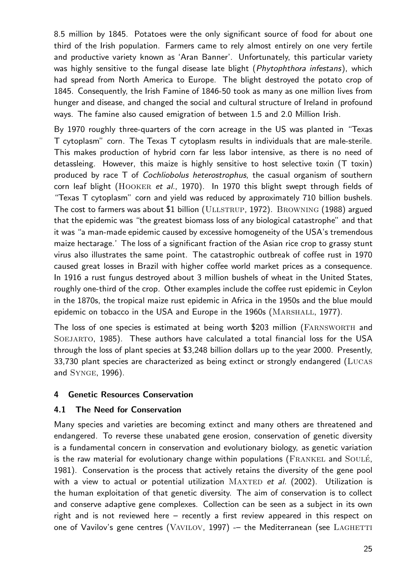8.5 million by 1845. Potatoes were the only significant source of food for about one third of the Irish population. Farmers came to rely almost entirely on one very fertile and productive variety known as 'Aran Banner'. Unfortunately, this particular variety was highly sensitive to the fungal disease late blight (Phytophthora infestans), which had spread from North America to Europe. The blight destroyed the potato crop of 1845. Consequently, the Irish Famine of 1846-50 took as many as one million lives from hunger and disease, and changed the social and cultural structure of Ireland in profound ways. The famine also caused emigration of between 1.5 and 2.0 Million Irish.

By 1970 roughly three-quarters of the corn acreage in the US was planted in "Texas T cytoplasm" corn. The Texas T cytoplasm results in individuals that are male-sterile. This makes production of hybrid corn far less labor intensive, as there is no need of detassleing. However, this maize is highly sensitive to host selective toxin (T toxin) produced by race T of *Cochliobolus heterostrophus*, the casual organism of southern corn leaf blight (HOOKER et al., 1970). In 1970 this blight swept through fields of "Texas T cytoplasm" corn and yield was reduced by approximately 710 billion bushels. The cost to farmers was about \$1 billion (ULLSTRUP, 1972). BROWNING (1988) argued that the epidemic was "the greatest biomass loss of any biological catastrophe" and that it was "a man-made epidemic caused by excessive homogeneity of the USA's tremendous maize hectarage.' The loss of a significant fraction of the Asian rice crop to grassy stunt virus also illustrates the same point. The catastrophic outbreak of coffee rust in 1970 caused great losses in Brazil with higher coffee world market prices as a consequence. In 1916 a rust fungus destroyed about 3 million bushels of wheat in the United States, roughly one-third of the crop. Other examples include the coffee rust epidemic in Ceylon in the 1870s, the tropical maize rust epidemic in Africa in the 1950s and the blue mould epidemic on tobacco in the USA and Europe in the 1960s (MARSHALL, 1977).

The loss of one species is estimated at being worth \$203 million (Farnsworth and SOEJARTO, 1985). These authors have calculated a total financial loss for the USA through the loss of plant species at \$3,248 billion dollars up to the year 2000. Presently, 33,730 plant species are characterized as being extinct or strongly endangered (Lucas and Synge, 1996).

## **4 Genetic Resources Conservation**

## **4.1 The Need for Conservation**

Many species and varieties are becoming extinct and many others are threatened and endangered. To reverse these unabated gene erosion, conservation of genetic diversity is a fundamental concern in conservation and evolutionary biology, as genetic variation is the raw material for evolutionary change within populations ( $\overline{\text{FRANKEL}}$  and  $\overline{\text{Souté}}$ , 1981). Conservation is the process that actively retains the diversity of the gene pool with a view to actual or potential utilization  $MAXTED$  et al. (2002). Utilization is the human exploitation of that genetic diversity. The aim of conservation is to collect and conserve adaptive gene complexes. Collection can be seen as a subject in its own right and is not reviewed here – recently a first review appeared in this respect on one of Vavilov's gene centres (VAVILOV, 1997) -- the Mediterranean (see LAGHETTI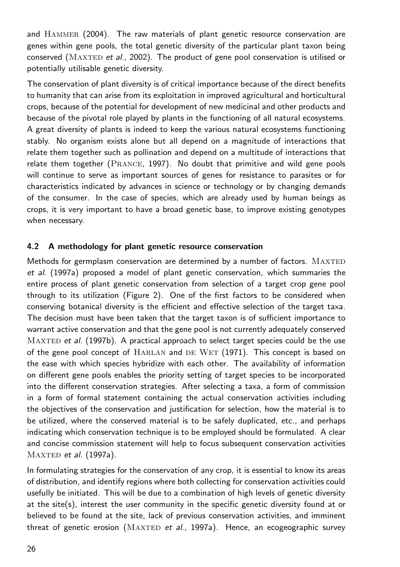and Hammer (2004). The raw materials of plant genetic resource conservation are genes within gene pools, the total genetic diversity of the particular plant taxon being conserved ( $MAXTED$  et al., 2002). The product of gene pool conservation is utilised or potentially utilisable genetic diversity.

The conservation of plant diversity is of critical importance because of the direct benefits to humanity that can arise from its exploitation in improved agricultural and horticultural crops, because of the potential for development of new medicinal and other products and because of the pivotal role played by plants in the functioning of all natural ecosystems. A great diversity of plants is indeed to keep the various natural ecosystems functioning stably. No organism exists alone but all depend on a magnitude of interactions that relate them together such as pollination and depend on a multitude of interactions that relate them together (PRANCE, 1997). No doubt that primitive and wild gene pools will continue to serve as important sources of genes for resistance to parasites or for characteristics indicated by advances in science or technology or by changing demands of the consumer. In the case of species, which are already used by human beings as crops, it is very important to have a broad genetic base, to improve existing genotypes when necessary.

## **4.2 A methodology for plant genetic resource conservation**

Methods for germplasm conservation are determined by a number of factors. MAXTED et al. (1997a) proposed a model of plant genetic conservation, which summaries the entire process of plant genetic conservation from selection of a target crop gene pool through to its utilization (Figure 2). One of the first factors to be considered when conserving botanical diversity is the efficient and effective selection of the target taxa. The decision must have been taken that the target taxon is of sufficient importance to warrant active conservation and that the gene pool is not currently adequately conserved MAXTED et al. (1997b). A practical approach to select target species could be the use of the gene pool concept of HARLAN and DE WET (1971). This concept is based on the ease with which species hybridize with each other. The availability of information on different gene pools enables the priority setting of target species to be incorporated into the different conservation strategies. After selecting a taxa, a form of commission in a form of formal statement containing the actual conservation activities including the objectives of the conservation and justification for selection, how the material is to be utilized, where the conserved material is to be safely duplicated, etc., and perhaps indicating which conservation technique is to be employed should be formulated. A clear and concise commission statement will help to focus subsequent conservation activities  $MAXTED$  et al. (1997a).

In formulating strategies for the conservation of any crop, it is essential to know its areas of distribution, and identify regions where both collecting for conservation activities could usefully be initiated. This will be due to a combination of high levels of genetic diversity at the site(s), interest the user community in the specific genetic diversity found at or believed to be found at the site, lack of previous conservation activities, and imminent threat of genetic erosion ( $MAXTED$  et al., 1997a). Hence, an ecogeographic survey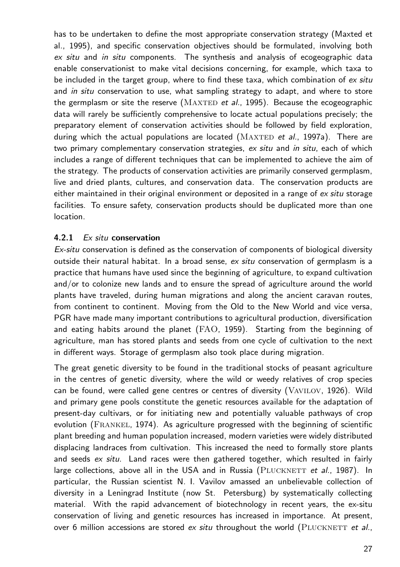has to be undertaken to define the most appropriate conservation strategy (Maxted et al., 1995), and specific conservation objectives should be formulated, involving both ex situ and in situ components. The synthesis and analysis of ecogeographic data enable conservationist to make vital decisions concerning, for example, which taxa to be included in the target group, where to find these taxa, which combination of ex situ and in situ conservation to use, what sampling strategy to adapt, and where to store the germplasm or site the reserve ( $MAXTED$  et al., 1995). Because the ecogeographic data will rarely be sufficiently comprehensive to locate actual populations precisely; the preparatory element of conservation activities should be followed by field exploration, during which the actual populations are located ( $MAXTED$  et al., 1997a). There are two primary complementary conservation strategies, ex situ and in situ, each of which includes a range of different techniques that can be implemented to achieve the aim of the strategy. The products of conservation activities are primarily conserved germplasm, live and dried plants, cultures, and conservation data. The conservation products are either maintained in their original environment or deposited in a range of ex situ storage facilities. To ensure safety, conservation products should be duplicated more than one location.

## **4.2.1** Ex situ **conservation**

Ex-situ conservation is defined as the conservation of components of biological diversity outside their natural habitat. In a broad sense,  $ex$  situ conservation of germplasm is a practice that humans have used since the beginning of agriculture, to expand cultivation and/or to colonize new lands and to ensure the spread of agriculture around the world plants have traveled, during human migrations and along the ancient caravan routes, from continent to continent. Moving from the Old to the New World and vice versa, PGR have made many important contributions to agricultural production, diversification and eating habits around the planet (FAO, 1959). Starting from the beginning of agriculture, man has stored plants and seeds from one cycle of cultivation to the next in different ways. Storage of germplasm also took place during migration.

The great genetic diversity to be found in the traditional stocks of peasant agriculture in the centres of genetic diversity, where the wild or weedy relatives of crop species can be found, were called gene centres or centres of diversity (Vavilov, 1926). Wild and primary gene pools constitute the genetic resources available for the adaptation of present-day cultivars, or for initiating new and potentially valuable pathways of crop evolution (Frankel, 1974). As agriculture progressed with the beginning of scientific plant breeding and human population increased, modern varieties were widely distributed displacing landraces from cultivation. This increased the need to formally store plants and seeds ex situ. Land races were then gathered together, which resulted in fairly large collections, above all in the USA and in Russia (PLUCKNETT et al., 1987). In particular, the Russian scientist N. I. Vavilov amassed an unbelievable collection of diversity in a Leningrad Institute (now St. Petersburg) by systematically collecting material. With the rapid advancement of biotechnology in recent years, the ex-situ conservation of living and genetic resources has increased in importance. At present, over 6 million accessions are stored  $ex$  situ throughout the world (PLUCKNETT et al.,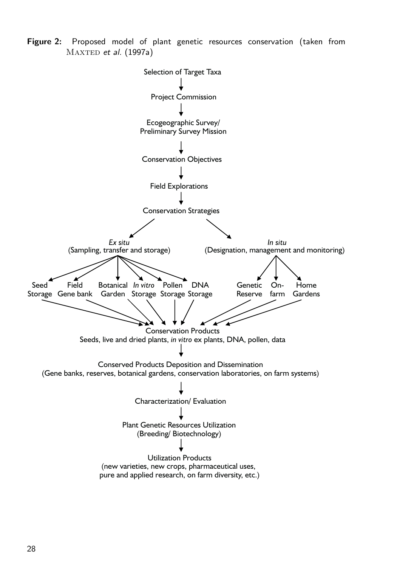**Figure 2:** Proposed model of plant genetic resources conservation (taken from  $MAXTED$  et al. (1997a)

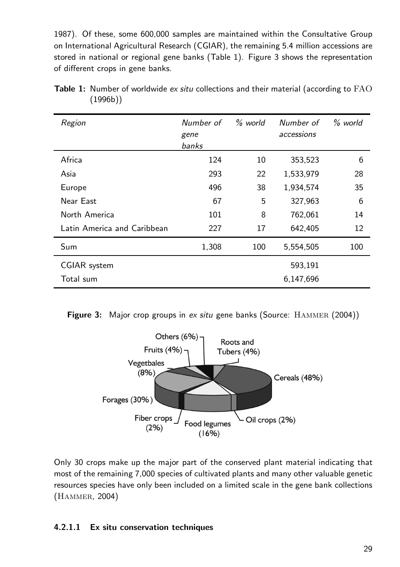1987). Of these, some 600,000 samples are maintained within the Consultative Group on International Agricultural Research (CGIAR), the remaining 5.4 million accessions are stored in national or regional gene banks (Table 1). Figure 3 shows the representation of different crops in gene banks.

| Region                      | Number of<br>gene<br>banks | % world | Number of<br>accessions | % world |
|-----------------------------|----------------------------|---------|-------------------------|---------|
| Africa                      | 124                        | 10      | 353,523                 | 6       |
| Asia                        | 293                        | 22      | 1,533,979               | 28      |
| Europe                      | 496                        | 38      | 1,934,574               | 35      |
| Near East                   | 67                         | 5       | 327,963                 | 6       |
| North America               | 101                        | 8       | 762,061                 | 14      |
| Latin America and Caribbean | 227                        | 17      | 642,405                 | 12      |
| Sum                         | 1,308                      | 100     | 5,554,505               | 100     |
| <b>CGIAR</b> system         |                            |         | 593,191                 |         |
| Total sum                   |                            |         | 6,147,696               |         |

Table 1: Number of worldwide ex situ collections and their material (according to FAO (1996b))

**Figure 3:** Major crop groups in ex situ gene banks (Source: HAMMER (2004))



Only 30 crops make up the major part of the conserved plant material indicating that most of the remaining 7,000 species of cultivated plants and many other valuable genetic resources species have only been included on a limited scale in the gene bank collections (Hammer, 2004)

# **4.2.1.1 Ex situ conservation techniques**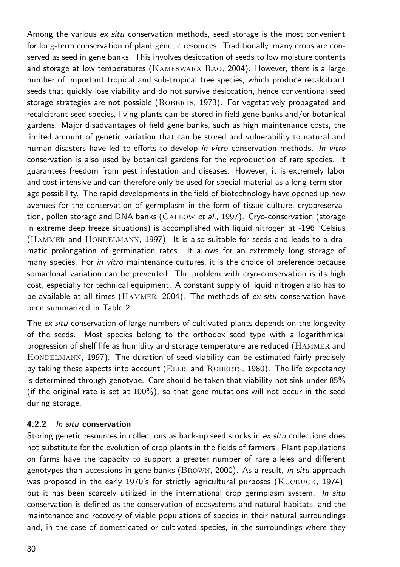Among the various ex situ conservation methods, seed storage is the most convenient for long-term conservation of plant genetic resources. Traditionally, many crops are conserved as seed in gene banks. This involves desiccation of seeds to low moisture contents and storage at low temperatures (Kameswara Rao, 2004). However, there is a large number of important tropical and sub-tropical tree species, which produce recalcitrant seeds that quickly lose viability and do not survive desiccation, hence conventional seed storage strategies are not possible (ROBERTS, 1973). For vegetatively propagated and recalcitrant seed species, living plants can be stored in field gene banks and/or botanical gardens. Major disadvantages of field gene banks, such as high maintenance costs, the limited amount of genetic variation that can be stored and vulnerability to natural and human disasters have led to efforts to develop in vitro conservation methods. In vitro conservation is also used by botanical gardens for the reproduction of rare species. It guarantees freedom from pest infestation and diseases. However, it is extremely labor and cost intensive and can therefore only be used for special material as a long-term storage possibility. The rapid developments in the field of biotechnology have opened up new avenues for the conservation of germplasm in the form of tissue culture, cryopreservation, pollen storage and DNA banks (CALLOW et al., 1997). Cryo-conservation (storage in extreme deep freeze situations) is accomplished with liquid nitrogen at -196 °Celsius (HAMMER and HONDELMANN, 1997). It is also suitable for seeds and leads to a dramatic prolongation of germination rates. It allows for an extremely long storage of many species. For in vitro maintenance cultures, it is the choice of preference because somaclonal variation can be prevented. The problem with cryo-conservation is its high cost, especially for technical equipment. A constant supply of liquid nitrogen also has to be available at all times ( $HAMMER$ , 2004). The methods of  $ex$  situ conservation have been summarized in Table 2.

The ex situ conservation of large numbers of cultivated plants depends on the longevity of the seeds. Most species belong to the orthodox seed type with a logarithmical progression of shelf life as humidity and storage temperature are reduced (Hammer and HONDELMANN, 1997). The duration of seed viability can be estimated fairly precisely by taking these aspects into account (ELLIS and ROBERTS, 1980). The life expectancy is determined through genotype. Care should be taken that viability not sink under 85% (if the original rate is set at 100%), so that gene mutations will not occur in the seed during storage.

## **4.2.2** In situ **conservation**

Storing genetic resources in collections as back-up seed stocks in ex situ collections does not substitute for the evolution of crop plants in the fields of farmers. Plant populations on farms have the capacity to support a greater number of rare alleles and different genotypes than accessions in gene banks (Brown, 2000). As a result, in situ approach was proposed in the early 1970's for strictly agricultural purposes (KUCKUCK, 1974), but it has been scarcely utilized in the international crop germplasm system. In situ conservation is defined as the conservation of ecosystems and natural habitats, and the maintenance and recovery of viable populations of species in their natural surroundings and, in the case of domesticated or cultivated species, in the surroundings where they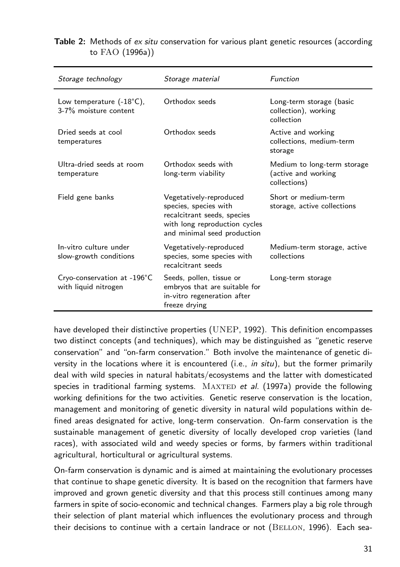| Storage technology                                          | Storage material                                                                                                                                | Function                                                           |  |
|-------------------------------------------------------------|-------------------------------------------------------------------------------------------------------------------------------------------------|--------------------------------------------------------------------|--|
| Low temperature $(-18^{\circ}C)$ ,<br>3-7% moisture content | Orthodox seeds                                                                                                                                  | Long-term storage (basic<br>collection), working<br>collection     |  |
| Dried seeds at cool<br>temperatures                         | Orthodox seeds                                                                                                                                  | Active and working<br>collections. medium-term<br>storage          |  |
| Ultra-dried seeds at room<br>temperature                    | Orthodox seeds with<br>long-term viability                                                                                                      | Medium to long-term storage<br>(active and working<br>collections) |  |
| Field gene banks                                            | Vegetatively-reproduced<br>species, species with<br>recalcitrant seeds, species<br>with long reproduction cycles<br>and minimal seed production | Short or medium-term<br>storage, active collections                |  |
| In-vitro culture under<br>slow-growth conditions            | Vegetatively-reproduced<br>species, some species with<br>recalcitrant seeds                                                                     | Medium-term storage, active<br>collections                         |  |
| Cryo-conservation at -196°C<br>with liquid nitrogen         | Seeds, pollen, tissue or<br>embryos that are suitable for<br>in-vitro regeneration after<br>freeze drying                                       | Long-term storage                                                  |  |

## **Table 2:** Methods of ex situ conservation for various plant genetic resources (according to FAO (1996a))

have developed their distinctive properties (UNEP, 1992). This definition encompasses two distinct concepts (and techniques), which may be distinguished as "genetic reserve conservation" and "on-farm conservation." Both involve the maintenance of genetic diversity in the locations where it is encountered (i.e., *in situ*), but the former primarily deal with wild species in natural habitats/ecosystems and the latter with domesticated species in traditional farming systems.  $MAXTED$  et al. (1997a) provide the following working definitions for the two activities. Genetic reserve conservation is the location, management and monitoring of genetic diversity in natural wild populations within defined areas designated for active, long-term conservation. On-farm conservation is the sustainable management of genetic diversity of locally developed crop varieties (land races), with associated wild and weedy species or forms, by farmers within traditional agricultural, horticultural or agricultural systems.

On-farm conservation is dynamic and is aimed at maintaining the evolutionary processes that continue to shape genetic diversity. It is based on the recognition that farmers have improved and grown genetic diversity and that this process still continues among many farmers in spite of socio-economic and technical changes. Farmers play a big role through their selection of plant material which influences the evolutionary process and through their decisions to continue with a certain landrace or not (BELLON, 1996). Each sea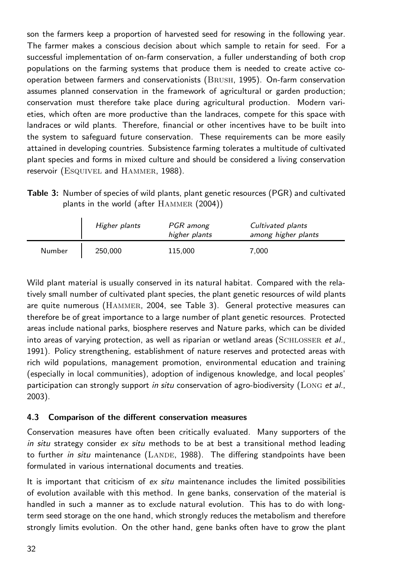son the farmers keep a proportion of harvested seed for resowing in the following year. The farmer makes a conscious decision about which sample to retain for seed. For a successful implementation of on-farm conservation, a fuller understanding of both crop populations on the farming systems that produce them is needed to create active cooperation between farmers and conservationists (Brush, 1995). On-farm conservation assumes planned conservation in the framework of agricultural or garden production; conservation must therefore take place during agricultural production. Modern varieties, which often are more productive than the landraces, compete for this space with landraces or wild plants. Therefore, financial or other incentives have to be built into the system to safeguard future conservation. These requirements can be more easily attained in developing countries. Subsistence farming tolerates a multitude of cultivated plant species and forms in mixed culture and should be considered a living conservation reservoir (ESQUIVEL and HAMMER, 1988).

| <b>Table 3:</b> Number of species of wild plants, plant genetic resources (PGR) and cultivated |
|------------------------------------------------------------------------------------------------|
| plants in the world (after $HAMMER$ (2004))                                                    |

|        | Higher plants | PGR among<br>higher plants | Cultivated plants<br>among higher plants |
|--------|---------------|----------------------------|------------------------------------------|
| Number | 250,000       | 115.000                    | 7.000                                    |

Wild plant material is usually conserved in its natural habitat. Compared with the relatively small number of cultivated plant species, the plant genetic resources of wild plants are quite numerous (Hammer, 2004, see Table 3). General protective measures can therefore be of great importance to a large number of plant genetic resources. Protected areas include national parks, biosphere reserves and Nature parks, which can be divided into areas of varying protection, as well as riparian or wetland areas ( $SCHLOSSER$  et al., 1991). Policy strengthening, establishment of nature reserves and protected areas with rich wild populations, management promotion, environmental education and training (especially in local communities), adoption of indigenous knowledge, and local peoples' participation can strongly support in situ conservation of agro-biodiversity ( $Long$  et al., 2003).

## **4.3 Comparison of the different conservation measures**

Conservation measures have often been critically evaluated. Many supporters of the in situ strategy consider  $ex$  situ methods to be at best a transitional method leading to further in situ maintenance  $(LANDE, 1988)$ . The differing standpoints have been formulated in various international documents and treaties.

It is important that criticism of  $ex$  situ maintenance includes the limited possibilities of evolution available with this method. In gene banks, conservation of the material is handled in such a manner as to exclude natural evolution. This has to do with longterm seed storage on the one hand, which strongly reduces the metabolism and therefore strongly limits evolution. On the other hand, gene banks often have to grow the plant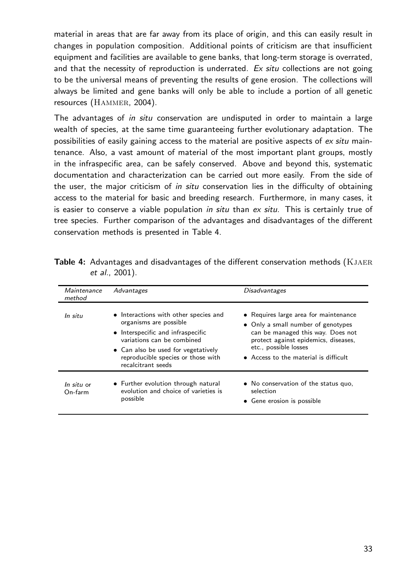material in areas that are far away from its place of origin, and this can easily result in changes in population composition. Additional points of criticism are that insufficient equipment and facilities are available to gene banks, that long-term storage is overrated, and that the necessity of reproduction is underrated.  $Ex$  situ collections are not going to be the universal means of preventing the results of gene erosion. The collections will always be limited and gene banks will only be able to include a portion of all genetic resources (HAMMER, 2004).

The advantages of *in situ* conservation are undisputed in order to maintain a large wealth of species, at the same time guaranteeing further evolutionary adaptation. The possibilities of easily gaining access to the material are positive aspects of ex situ maintenance. Also, a vast amount of material of the most important plant groups, mostly in the infraspecific area, can be safely conserved. Above and beyond this, systematic documentation and characterization can be carried out more easily. From the side of the user, the major criticism of in situ conservation lies in the difficulty of obtaining access to the material for basic and breeding research. Furthermore, in many cases, it is easier to conserve a viable population in situ than  $ex$  situ. This is certainly true of tree species. Further comparison of the advantages and disadvantages of the different conservation methods is presented in Table 4.

| Maintenance<br>method | Advantages                                                                                                                                                                                                                            | <b>Disadvantages</b>                                                                                                                                                                                                       |
|-----------------------|---------------------------------------------------------------------------------------------------------------------------------------------------------------------------------------------------------------------------------------|----------------------------------------------------------------------------------------------------------------------------------------------------------------------------------------------------------------------------|
| In situ               | • Interactions with other species and<br>organisms are possible<br>• Interspecific and infraspecific<br>variations can be combined<br>• Can also be used for vegetatively<br>reproducible species or those with<br>recalcitrant seeds | • Requires large area for maintenance<br>• Only a small number of genotypes<br>can be managed this way. Does not<br>protect against epidemics, diseases,<br>etc., possible losses<br>• Access to the material is difficult |
| In situ or<br>On-farm | • Further evolution through natural<br>evolution and choice of varieties is<br>possible                                                                                                                                               | • No conservation of the status quo,<br>selection<br>• Gene erosion is possible                                                                                                                                            |

**Table 4:** Advantages and disadvantages of the different conservation methods (KJAER et al., 2001).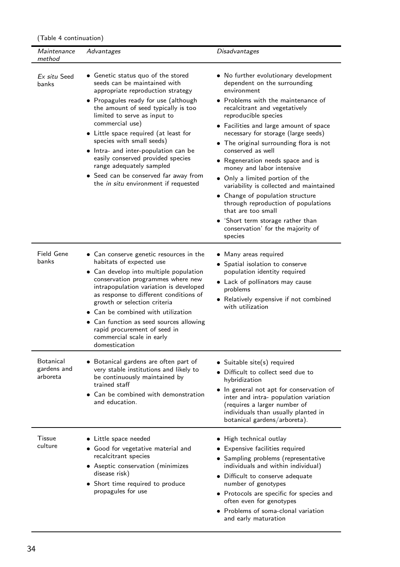(Table 4 continuation)

| <i>Maintenance</i><br>method         | Advantages                                                                                                                                                                                                                                                                                                                                                                                                                                                                                                | Disadvantages                                                                                                                                                                                                                                                                                                                                                                                                                                                                                                                                                                                                                                                              |
|--------------------------------------|-----------------------------------------------------------------------------------------------------------------------------------------------------------------------------------------------------------------------------------------------------------------------------------------------------------------------------------------------------------------------------------------------------------------------------------------------------------------------------------------------------------|----------------------------------------------------------------------------------------------------------------------------------------------------------------------------------------------------------------------------------------------------------------------------------------------------------------------------------------------------------------------------------------------------------------------------------------------------------------------------------------------------------------------------------------------------------------------------------------------------------------------------------------------------------------------------|
| Ex situ Seed<br>banks                | • Genetic status quo of the stored<br>seeds can be maintained with<br>appropriate reproduction strategy<br>• Propagules ready for use (although<br>the amount of seed typically is too<br>limited to serve as input to<br>commercial use)<br>• Little space required (at least for<br>species with small seeds)<br>• Intra- and inter-population can be<br>easily conserved provided species<br>range adequately sampled<br>• Seed can be conserved far away from<br>the in situ environment if requested | • No further evolutionary development<br>dependent on the surrounding<br>environment<br>• Problems with the maintenance of<br>recalcitrant and vegetatively<br>reproducible species<br>• Facilities and large amount of space<br>necessary for storage (large seeds)<br>• The original surrounding flora is not<br>conserved as well<br>• Regeneration needs space and is<br>money and labor intensive<br>• Only a limited portion of the<br>variability is collected and maintained<br>• Change of population structure<br>through reproduction of populations<br>that are too small<br>• 'Short term storage rather than<br>conservation' for the majority of<br>species |
| Field Gene<br>banks                  | • Can conserve genetic resources in the<br>habitats of expected use<br>• Can develop into multiple population<br>conservation programmes where new<br>intrapopulation variation is developed<br>as response to different conditions of<br>growth or selection criteria<br>• Can be combined with utilization<br>• Can function as seed sources allowing<br>rapid procurement of seed in<br>commercial scale in early<br>domestication                                                                     | • Many areas required<br>• Spatial isolation to conserve<br>population identity required<br>• Lack of pollinators may cause<br>problems<br>• Relatively expensive if not combined<br>with utilization                                                                                                                                                                                                                                                                                                                                                                                                                                                                      |
| Botanical<br>gardens and<br>arboreta | • Botanical gardens are often part of<br>very stable institutions and likely to<br>be continuously maintained by<br>trained staff<br>• Can be combined with demonstration<br>and education.                                                                                                                                                                                                                                                                                                               | • Suitable site(s) required<br>• Difficult to collect seed due to<br>hybridization<br>• In general not apt for conservation of<br>inter and intra- population variation<br>(requires a larger number of<br>individuals than usually planted in<br>botanical gardens/arboreta).                                                                                                                                                                                                                                                                                                                                                                                             |
| Tissue<br>culture                    | • Little space needed<br>• Good for vegetative material and<br>recalcitrant species<br>• Aseptic conservation (minimizes<br>disease risk)<br>• Short time required to produce<br>propagules for use                                                                                                                                                                                                                                                                                                       | • High technical outlay<br>• Expensive facilities required<br>• Sampling problems (representative<br>individuals and within individual)<br>• Difficult to conserve adequate<br>number of genotypes<br>• Protocols are specific for species and<br>often even for genotypes<br>· Problems of soma-clonal variation<br>and early maturation                                                                                                                                                                                                                                                                                                                                  |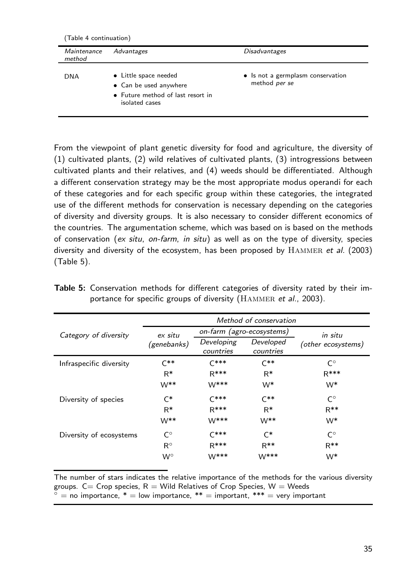(Table 4 continuation)

| Maintenance<br>method | Advantages                                                                                             | <b>Disadvantages</b>                               |
|-----------------------|--------------------------------------------------------------------------------------------------------|----------------------------------------------------|
| DNA                   | • Little space needed<br>• Can be used anywhere<br>• Future method of last resort in<br>isolated cases | • Is not a germplasm conservation<br>method per se |

From the viewpoint of plant genetic diversity for food and agriculture, the diversity of (1) cultivated plants, (2) wild relatives of cultivated plants, (3) introgressions between cultivated plants and their relatives, and (4) weeds should be differentiated. Although a different conservation strategy may be the most appropriate modus operandi for each of these categories and for each specific group within these categories, the integrated use of the different methods for conservation is necessary depending on the categories of diversity and diversity groups. It is also necessary to consider different economics of the countries. The argumentation scheme, which was based on is based on the methods of conservation (ex situ, on-farm, in situ) as well as on the type of diversity, species diversity and diversity of the ecosystem, has been proposed by  $HAMMER$  et al. (2003) (Table 5).

|                         | Method of conservation |                           |                        |                    |
|-------------------------|------------------------|---------------------------|------------------------|--------------------|
| Category of diversity   | ex situ                | on-farm (agro-ecosystems) |                        | in situ            |
|                         | (genebanks)            | Developing<br>countries   | Developed<br>countries | (other ecosystems) |
| Infraspecific diversity | $C^{**}$               | $C***$                    | $C^{**}$               | $C^{\circ}$        |
|                         | $R*$                   | $R***$                    | $R*$                   | $R***$             |
|                         | $W^{**}$               | $W^{***}$                 | W*                     | W <sup>*</sup>     |
| Diversity of species    | $C^*$                  | $C***$                    | $C^{**}$               | $C^{\circ}$        |
|                         | $R^*$                  | $R***$                    | $R*$                   | $R^{**}$           |
|                         | $W^{**}$               | $W$ ***                   | $W^{**}$               | W <sup>*</sup>     |
| Diversity of ecosystems | $\mathsf{C}^{\circ}$   | $C***$                    | $\mathsf{C}^*$         | C٥                 |
|                         | $R^{\circ}$            | $R***$                    | $R^{**}$               | $R^{**}$           |
|                         | $W^{\circ}$            | $W$ ***                   | W***                   | W*                 |

**Table 5:** Conservation methods for different categories of diversity rated by their importance for specific groups of diversity (HAMMER et al., 2003).

The number of stars indicates the relative importance of the methods for the various diversity groups.  $C=$  Crop species,  $R =$  Wild Relatives of Crop Species,  $W =$  Weeds  $=$  no importance,  $* =$  low importance,  $** =$  important,  $*** =$  very important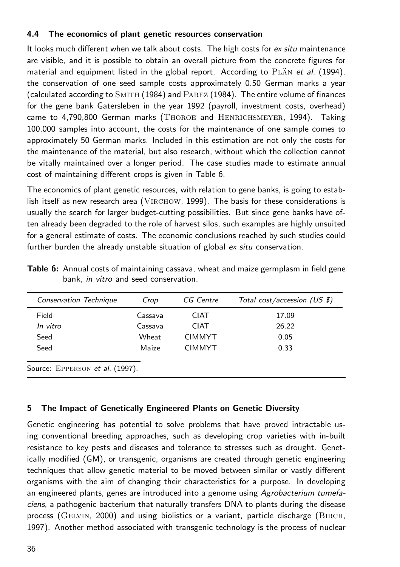## **4.4 The economics of plant genetic resources conservation**

It looks much different when we talk about costs. The high costs for ex situ maintenance are visible, and it is possible to obtain an overall picture from the concrete figures for material and equipment listed in the global report. According to  $PLAN$  et al. (1994), the conservation of one seed sample costs approximately 0.50 German marks a year  $\alpha$  (calculated according to  $\text{SMITH}$  (1984) and  $\text{PAREZ}$  (1984). The entire volume of finances for the gene bank Gatersleben in the year 1992 (payroll, investment costs, overhead) came to 4,790,800 German marks (Thoroe and Henrichsmeyer, 1994). Taking 100,000 samples into account, the costs for the maintenance of one sample comes to approximately 50 German marks. Included in this estimation are not only the costs for the maintenance of the material, but also research, without which the collection cannot be vitally maintained over a longer period. The case studies made to estimate annual cost of maintaining different crops is given in Table 6.

The economics of plant genetic resources, with relation to gene banks, is going to establish itself as new research area (VIRCHOW, 1999). The basis for these considerations is usually the search for larger budget-cutting possibilities. But since gene banks have often already been degraded to the role of harvest silos, such examples are highly unsuited for a general estimate of costs. The economic conclusions reached by such studies could further burden the already unstable situation of global ex situ conservation.

| Conservation Technique          | Crop    | CG Centre     | Total cost/accession (US \$) |
|---------------------------------|---------|---------------|------------------------------|
| Field                           | Cassava | <b>CIAT</b>   | 17.09                        |
| In vitro                        | Cassava | <b>CIAT</b>   | 26.22                        |
| Seed                            | Wheat   | <b>CIMMYT</b> | 0.05                         |
| Seed                            | Maize   | <b>CIMMYT</b> | 0.33                         |
| Source: EPPERSON et al. (1997). |         |               |                              |

**Table 6:** Annual costs of maintaining cassava, wheat and maize germplasm in field gene bank, in vitro and seed conservation.

## **5 The Impact of Genetically Engineered Plants on Genetic Diversity**

Genetic engineering has potential to solve problems that have proved intractable using conventional breeding approaches, such as developing crop varieties with in-built resistance to key pests and diseases and tolerance to stresses such as drought. Genetically modified (GM), or transgenic, organisms are created through genetic engineering techniques that allow genetic material to be moved between similar or vastly different organisms with the aim of changing their characteristics for a purpose. In developing an engineered plants, genes are introduced into a genome using Agrobacterium tumefaciens, a pathogenic bacterium that naturally transfers DNA to plants during the disease process (GELVIN, 2000) and using biolistics or a variant, particle discharge (BIRCH, 1997). Another method associated with transgenic technology is the process of nuclear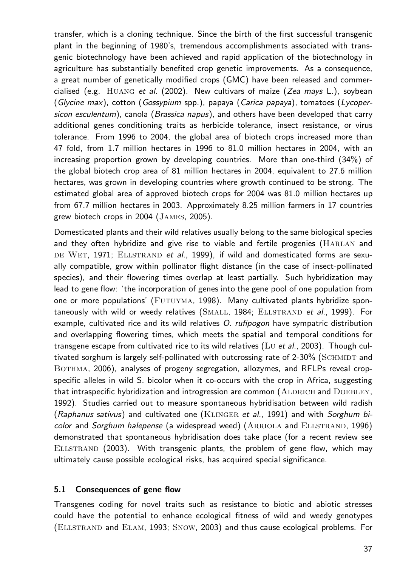transfer, which is a cloning technique. Since the birth of the first successful transgenic plant in the beginning of 1980's, tremendous accomplishments associated with transgenic biotechnology have been achieved and rapid application of the biotechnology in agriculture has substantially benefited crop genetic improvements. As a consequence, a great number of genetically modified crops (GMC) have been released and commercialised (e.g.  $HUANG$  et al. (2002). New cultivars of maize (Zea mays L.), soybean (Glycine max), cotton (Gossypium spp.), papaya (Carica papaya), tomatoes (Lycopersicon esculentum), canola (Brassica napus), and others have been developed that carry additional genes conditioning traits as herbicide tolerance, insect resistance, or virus tolerance. From 1996 to 2004, the global area of biotech crops increased more than 47 fold, from 1.7 million hectares in 1996 to 81.0 million hectares in 2004, with an increasing proportion grown by developing countries. More than one-third (34%) of the global biotech crop area of 81 million hectares in 2004, equivalent to 27.6 million hectares, was grown in developing countries where growth continued to be strong. The estimated global area of approved biotech crops for 2004 was 81.0 million hectares up from 67.7 million hectares in 2003. Approximately 8.25 million farmers in 17 countries grew biotech crops in 2004 (James, 2005).

Domesticated plants and their wild relatives usually belong to the same biological species and they often hybridize and give rise to viable and fertile progenies (HARLAN and DE WET, 1971; ELLSTRAND et al., 1999), if wild and domesticated forms are sexually compatible, grow within pollinator flight distance (in the case of insect-pollinated species), and their flowering times overlap at least partially. Such hybridization may lead to gene flow: 'the incorporation of genes into the gene pool of one population from one or more populations' (FUTUYMA, 1998). Many cultivated plants hybridize spontaneously with wild or weedy relatives (SMALL, 1984; ELLSTRAND et al., 1999). For example, cultivated rice and its wild relatives O. rufipogon have sympatric distribution and overlapping flowering times, which meets the spatial and temporal conditions for transgene escape from cultivated rice to its wild relatives ( $Lv$  et al., 2003). Though cultivated sorghum is largely self-pollinated with outcrossing rate of  $2-30\%$  (SCHMIDT and BOTHMA, 2006), analyses of progeny segregation, allozymes, and RFLPs reveal cropspecific alleles in wild S. bicolor when it co-occurs with the crop in Africa, suggesting that intraspecific hybridization and introgression are common (ALDRICH and DOEBLEY, 1992). Studies carried out to measure spontaneous hybridisation between wild radish  $(Raphanus sativus)$  and cultivated one (KLINGER et al., 1991) and with Sorghum bicolor and Sorghum halepense (a widespread weed) (ARRIOLA and ELLSTRAND, 1996) demonstrated that spontaneous hybridisation does take place (for a recent review see ELLSTRAND (2003). With transgenic plants, the problem of gene flow, which may ultimately cause possible ecological risks, has acquired special significance.

#### **5.1 Consequences of gene flow**

Transgenes coding for novel traits such as resistance to biotic and abiotic stresses could have the potential to enhance ecological fitness of wild and weedy genotypes (Ellstrand and Elam, 1993; Snow, 2003) and thus cause ecological problems. For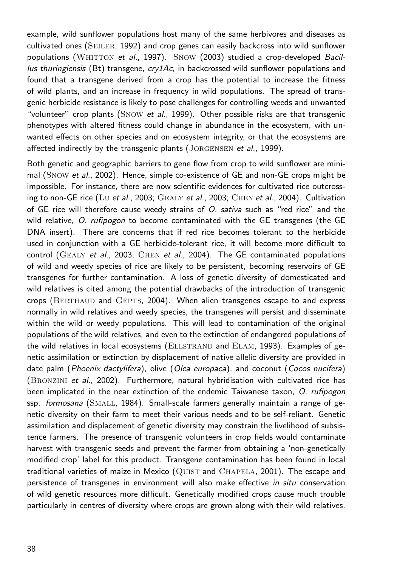example, wild sunflower populations host many of the same herbivores and diseases as cultivated ones (SEILER, 1992) and crop genes can easily backcross into wild sunflower populations (WHITTON et al., 1997). Snow (2003) studied a crop-developed Bacillus thuringiensis (Bt) transgene,  $cry1Ac$ , in backcrossed wild sunflower populations and found that a transgene derived from a crop has the potential to increase the fitness of wild plants, and an increase in frequency in wild populations. The spread of transgenic herbicide resistance is likely to pose challenges for controlling weeds and unwanted "volunteer" crop plants (SNOW et al., 1999). Other possible risks are that transgenic phenotypes with altered fitness could change in abundance in the ecosystem, with unwanted effects on other species and on ecosystem integrity, or that the ecosystems are affected indirectly by the transgenic plants (JORGENSEN et al., 1999).

Both genetic and geographic barriers to gene flow from crop to wild sunflower are minimal (Snow et al., 2002). Hence, simple co-existence of GE and non-GE crops might be impossible. For instance, there are now scientific evidences for cultivated rice outcrossing to non-GE rice (Lu et al., 2003; GEALY et al., 2003; CHEN et al., 2004). Cultivation of GE rice will therefore cause weedy strains of O. sativa such as "red rice" and the wild relative, O. rufipogon to become contaminated with the GE transgenes (the GE DNA insert). There are concerns that if red rice becomes tolerant to the herbicide used in conjunction with a GE herbicide-tolerant rice, it will become more difficult to control (GEALY et al., 2003; CHEN et al., 2004). The GE contaminated populations of wild and weedy species of rice are likely to be persistent, becoming reservoirs of GE transgenes for further contamination. A loss of genetic diversity of domesticated and wild relatives is cited among the potential drawbacks of the introduction of transgenic crops (BERTHAUD and GEPTS, 2004). When alien transgenes escape to and express normally in wild relatives and weedy species, the transgenes will persist and disseminate within the wild or weedy populations. This will lead to contamination of the original populations of the wild relatives, and even to the extinction of endangered populations of the wild relatives in local ecosystems (ELLSTRAND and ELAM, 1993). Examples of genetic assimilation or extinction by displacement of native allelic diversity are provided in date palm (Phoenix dactylifera), olive (Olea europaea), and coconut (Cocos nucifera) (Bronzini et al., 2002). Furthermore, natural hybridisation with cultivated rice has been implicated in the near extinction of the endemic Taiwanese taxon, O. rufipogon ssp. formosana (SMALL, 1984). Small-scale farmers generally maintain a range of genetic diversity on their farm to meet their various needs and to be self-reliant. Genetic assimilation and displacement of genetic diversity may constrain the livelihood of subsistence farmers. The presence of transgenic volunteers in crop fields would contaminate harvest with transgenic seeds and prevent the farmer from obtaining a 'non-genetically modified crop' label for this product. Transgene contamination has been found in local traditional varieties of maize in Mexico  $\left( \text{Quist and CHAPELA}, 2001 \right)$ . The escape and persistence of transgenes in environment will also make effective in situ conservation of wild genetic resources more difficult. Genetically modified crops cause much trouble particularly in centres of diversity where crops are grown along with their wild relatives.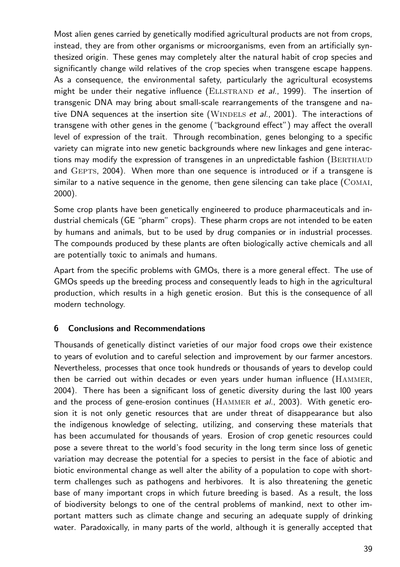Most alien genes carried by genetically modified agricultural products are not from crops, instead, they are from other organisms or microorganisms, even from an artificially synthesized origin. These genes may completely alter the natural habit of crop species and significantly change wild relatives of the crop species when transgene escape happens. As a consequence, the environmental safety, particularly the agricultural ecosystems might be under their negative influence (ELLSTRAND et  $al.$ , 1999). The insertion of transgenic DNA may bring about small-scale rearrangements of the transgene and native DNA sequences at the insertion site (WINDELS et al., 2001). The interactions of transgene with other genes in the genome ("background effect") may affect the overall level of expression of the trait. Through recombination, genes belonging to a specific variety can migrate into new genetic backgrounds where new linkages and gene interactions may modify the expression of transgenes in an unpredictable fashion (BERTHAUD and GEPTS, 2004). When more than one sequence is introduced or if a transgene is similar to a native sequence in the genome, then gene silencing can take place  $\overline{(COMAI)}$ , 2000).

Some crop plants have been genetically engineered to produce pharmaceuticals and industrial chemicals (GE "pharm" crops). These pharm crops are not intended to be eaten by humans and animals, but to be used by drug companies or in industrial processes. The compounds produced by these plants are often biologically active chemicals and all are potentially toxic to animals and humans.

Apart from the specific problems with GMOs, there is a more general effect. The use of GMOs speeds up the breeding process and consequently leads to high in the agricultural production, which results in a high genetic erosion. But this is the consequence of all modern technology.

## **6 Conclusions and Recommendations**

Thousands of genetically distinct varieties of our major food crops owe their existence to years of evolution and to careful selection and improvement by our farmer ancestors. Nevertheless, processes that once took hundreds or thousands of years to develop could then be carried out within decades or even years under human influence (Hammer, 2004). There has been a significant loss of genetic diversity during the last l00 years and the process of gene-erosion continues (HAMMER et al., 2003). With genetic erosion it is not only genetic resources that are under threat of disappearance but also the indigenous knowledge of selecting, utilizing, and conserving these materials that has been accumulated for thousands of years. Erosion of crop genetic resources could pose a severe threat to the world's food security in the long term since loss of genetic variation may decrease the potential for a species to persist in the face of abiotic and biotic environmental change as well alter the ability of a population to cope with shortterm challenges such as pathogens and herbivores. It is also threatening the genetic base of many important crops in which future breeding is based. As a result, the loss of biodiversity belongs to one of the central problems of mankind, next to other important matters such as climate change and securing an adequate supply of drinking water. Paradoxically, in many parts of the world, although it is generally accepted that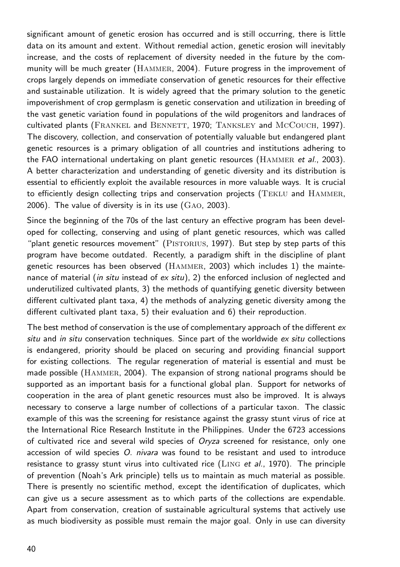significant amount of genetic erosion has occurred and is still occurring, there is little data on its amount and extent. Without remedial action, genetic erosion will inevitably increase, and the costs of replacement of diversity needed in the future by the community will be much greater (HAMMER, 2004). Future progress in the improvement of crops largely depends on immediate conservation of genetic resources for their effective and sustainable utilization. It is widely agreed that the primary solution to the genetic impoverishment of crop germplasm is genetic conservation and utilization in breeding of the vast genetic variation found in populations of the wild progenitors and landraces of cultivated plants (FRANKEL and BENNETT, 1970; TANKSLEY and MCCOUCH, 1997). The discovery, collection, and conservation of potentially valuable but endangered plant genetic resources is a primary obligation of all countries and institutions adhering to the FAO international undertaking on plant genetic resources ( $HAMMER$  et al., 2003). A better characterization and understanding of genetic diversity and its distribution is essential to efficiently exploit the available resources in more valuable ways. It is crucial to efficiently design collecting trips and conservation projects (TEKLU and HAMMER, 2006). The value of diversity is in its use  $(GAO, 2003)$ .

Since the beginning of the 70s of the last century an effective program has been developed for collecting, conserving and using of plant genetic resources, which was called "plant genetic resources movement" (PISTORIUS, 1997). But step by step parts of this program have become outdated. Recently, a paradigm shift in the discipline of plant genetic resources has been observed (Hammer, 2003) which includes 1) the maintenance of material (in situ instead of  $ex$  situ), 2) the enforced inclusion of neglected and underutilized cultivated plants, 3) the methods of quantifying genetic diversity between different cultivated plant taxa, 4) the methods of analyzing genetic diversity among the different cultivated plant taxa, 5) their evaluation and 6) their reproduction.

The best method of conservation is the use of complementary approach of the different  $ex$ situ and in situ conservation techniques. Since part of the worldwide  $ex$  situ collections is endangered, priority should be placed on securing and providing financial support for existing collections. The regular regeneration of material is essential and must be made possible (Hammer, 2004). The expansion of strong national programs should be supported as an important basis for a functional global plan. Support for networks of cooperation in the area of plant genetic resources must also be improved. It is always necessary to conserve a large number of collections of a particular taxon. The classic example of this was the screening for resistance against the grassy stunt virus of rice at the International Rice Research Institute in the Philippines. Under the 6723 accessions of cultivated rice and several wild species of Oryza screened for resistance, only one accession of wild species O. nivara was found to be resistant and used to introduce resistance to grassy stunt virus into cultivated rice (LING et al., 1970). The principle of prevention (Noah's Ark principle) tells us to maintain as much material as possible. There is presently no scientific method, except the identification of duplicates, which can give us a secure assessment as to which parts of the collections are expendable. Apart from conservation, creation of sustainable agricultural systems that actively use as much biodiversity as possible must remain the major goal. Only in use can diversity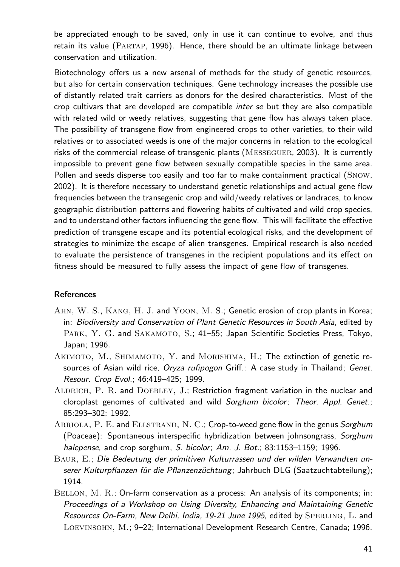be appreciated enough to be saved, only in use it can continue to evolve, and thus retain its value (Partap, 1996). Hence, there should be an ultimate linkage between conservation and utilization.

Biotechnology offers us a new arsenal of methods for the study of genetic resources, but also for certain conservation techniques. Gene technology increases the possible use of distantly related trait carriers as donors for the desired characteristics. Most of the crop cultivars that are developed are compatible inter se but they are also compatible with related wild or weedy relatives, suggesting that gene flow has always taken place. The possibility of transgene flow from engineered crops to other varieties, to their wild relatives or to associated weeds is one of the major concerns in relation to the ecological risks of the commercial release of transgenic plants (Messeguer, 2003). It is currently impossible to prevent gene flow between sexually compatible species in the same area. Pollen and seeds disperse too easily and too far to make containment practical (Snow, 2002). It is therefore necessary to understand genetic relationships and actual gene flow frequencies between the transegenic crop and wild/weedy relatives or landraces, to know geographic distribution patterns and flowering habits of cultivated and wild crop species, and to understand other factors influencing the gene flow. This will facilitate the effective prediction of transgene escape and its potential ecological risks, and the development of strategies to minimize the escape of alien transgenes. Empirical research is also needed to evaluate the persistence of transgenes in the recipient populations and its effect on fitness should be measured to fully assess the impact of gene flow of transgenes.

#### **References**

- Ahn, W. S., Kang, H. J. and Yoon, M. S.; Genetic erosion of crop plants in Korea; in: Biodiversity and Conservation of Plant Genetic Resources in South Asia, edited by PARK, Y. G. and SAKAMOTO, S.; 41-55; Japan Scientific Societies Press, Tokyo, Japan; 1996.
- AKIMOTO, M., SHIMAMOTO, Y. and MORISHIMA, H.; The extinction of genetic resources of Asian wild rice, Oryza rufipogon Griff.: A case study in Thailand; Genet. Resour. Crop Evol.; 46:419–425; 1999.
- ALDRICH, P. R. and DOEBLEY, J.; Restriction fragment variation in the nuclear and cloroplast genomes of cultivated and wild Sorghum bicolor; Theor. Appl. Genet.; 85:293–302; 1992.
- ARRIOLA, P. E. and ELLSTRAND, N. C.; Crop-to-weed gene flow in the genus Sorghum (Poaceae): Spontaneous interspecific hybridization between johnsongrass, Sorghum halepense, and crop sorghum, S. bicolor; Am. J. Bot.; 83:1153-1159; 1996.
- Baur, E.; Die Bedeutung der primitiven Kulturrassen und der wilden Verwandten unserer Kulturpflanzen für die Pflanzenzüchtung; Jahrbuch DLG (Saatzuchtabteilung); 1914.
- BELLON, M. R.; On-farm conservation as a process: An analysis of its components; in: Proceedings of a Workshop on Using Diversity, Enhancing and Maintaining Genetic Resources On-Farm, New Delhi, India, 19-21 June 1995, edited by SPERLING, L. and Loevinsohn, M.; 9–22; International Development Research Centre, Canada; 1996.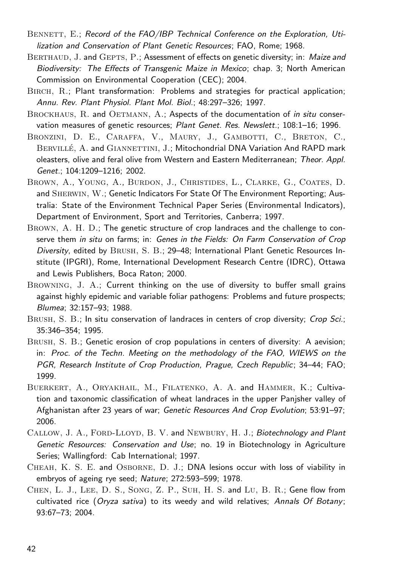- BENNETT, E.; Record of the FAO/IBP Technical Conference on the Exploration, Utilization and Conservation of Plant Genetic Resources; FAO, Rome; 1968.
- BERTHAUD, J. and GEPTS, P.; Assessment of effects on genetic diversity; in: Maize and Biodiversity: The Effects of Transgenic Maize in Mexico; chap. 3; North American Commission on Environmental Cooperation (CEC); 2004.
- Birch, R.; Plant transformation: Problems and strategies for practical application; Annu. Rev. Plant Physiol. Plant Mol. Biol.; 48:297–326; 1997.
- BROCKHAUS, R. and OETMANN, A.; Aspects of the documentation of in situ conservation measures of genetic resources; Plant Genet. Res. Newslett.; 108:1-16; 1996.
- BRONZINI, D. E., CARAFFA, V., MAURY, J., GAMBOTTI, C., BRETON, C., BERVILLÉ, A. and GIANNETTINI, J.; Mitochondrial DNA Variation And RAPD mark oleasters, olive and feral olive from Western and Eastern Mediterranean; Theor. Appl. Genet.; 104:1209–1216; 2002.
- Brown, A., Young, A., Burdon, J., Christides, L., Clarke, G., Coates, D. and Sherwin, W.; Genetic Indicators For State Of The Environment Reporting; Australia: State of the Environment Technical Paper Series (Environmental Indicators), Department of Environment, Sport and Territories, Canberra; 1997.
- Brown, A. H. D.; The genetic structure of crop landraces and the challenge to conserve them in situ on farms; in: Genes in the Fields: On Farm Conservation of Crop Diversity, edited by Brush, S. B.; 29–48; International Plant Genetic Resources Institute (IPGRI), Rome, International Development Research Centre (IDRC), Ottawa and Lewis Publishers, Boca Raton; 2000.
- Browning, J. A.; Current thinking on the use of diversity to buffer small grains against highly epidemic and variable foliar pathogens: Problems and future prospects; Blumea; 32:157–93; 1988.
- BRUSH, S. B.; In situ conservation of landraces in centers of crop diversity; Crop Sci.; 35:346–354; 1995.
- Brush, S. B.; Genetic erosion of crop populations in centers of diversity: A aevision; in: Proc. of the Techn. Meeting on the methodology of the FAO, WIEWS on the PGR, Research Institute of Crop Production, Prague, Czech Republic; 34–44; FAO; 1999.
- Buerkert, A., Oryakhail, M., Filatenko, A. A. and Hammer, K.; Cultivation and taxonomic classification of wheat landraces in the upper Panjsher valley of Afghanistan after 23 years of war; Genetic Resources And Crop Evolution; 53:91–97; 2006.
- CALLOW, J. A., FORD-LLOYD, B. V. and NEWBURY, H. J.; Biotechnology and Plant Genetic Resources: Conservation and Use; no. 19 in Biotechnology in Agriculture Series; Wallingford: Cab International; 1997.
- Cheah, K. S. E. and Osborne, D. J.; DNA lesions occur with loss of viability in embryos of ageing rye seed; Nature; 272:593–599; 1978.
- Chen, L. J., Lee, D. S., Song, Z. P., Suh, H. S. and Lu, B. R.; Gene flow from cultivated rice (Oryza sativa) to its weedy and wild relatives; Annals Of Botany; 93:67–73; 2004.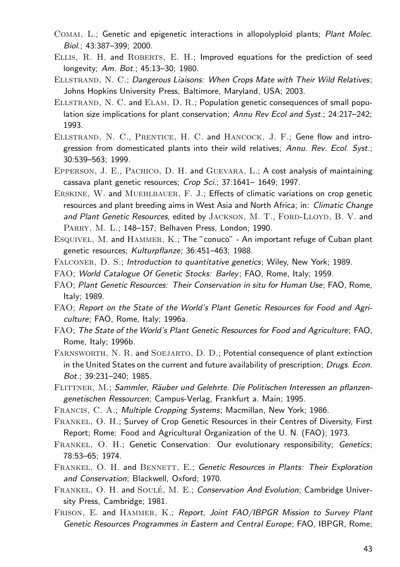- Comai, L.; Genetic and epigenetic interactions in allopolyploid plants; Plant Molec. Biol.; 43:387–399; 2000.
- Ellis, R. H. and Roberts, E. H.; Improved equations for the prediction of seed longevity; Am. Bot.; 45:13–30; 1980.
- Ellstrand, N. C.; Dangerous Liaisons: When Crops Mate with Their Wild Relatives; Johns Hopkins University Press, Baltimore, Maryland, USA; 2003.
- ELLSTRAND, N. C. and ELAM, D. R.; Population genetic consequences of small population size implications for plant conservation; Annu Rev Ecol and Syst.; 24:217–242; 1993.
- Ellstrand, N. C., Prentice, H. C. and Hancock, J. F.; Gene flow and introgression from domesticated plants into their wild relatives; Annu. Rev. Ecol. Syst.; 30:539–563; 1999.
- Epperson, J. E., Pachico, D. H. and Guevara, L.; A cost analysis of maintaining cassava plant genetic resources; Crop Sci.; 37:1641– 1649; 1997.
- Erskine, W. and Muehlbauer, F. J.; Effects of climatic variations on crop genetic resources and plant breeding aims in West Asia and North Africa; in: Climatic Change and Plant Genetic Resources, edited by JACKSON, M. T., FORD-LLOYD, B. V. and PARRY, M. L.; 148-157; Belhaven Press, London; 1990.
- Esquivel, M. and Hammer, K.; The "conuco" An important refuge of Cuban plant genetic resources; Kulturpflanze; 36:451-463; 1988.
- FALCONER, D. S.; *Introduction to quantitative genetics*; Wiley, New York; 1989.
- FAO; World Catalogue Of Genetic Stocks: Barley; FAO, Rome, Italy; 1959.
- FAO; Plant Genetic Resources: Their Conservation in situ for Human Use; FAO, Rome, Italy; 1989.
- FAO; Report on the State of the World's Plant Genetic Resources for Food and Agriculture; FAO, Rome, Italy; 1996a.
- FAO; The State of the World's Plant Genetic Resources for Food and Agriculture; FAO, Rome, Italy; 1996b.
- FARNSWORTH, N. R. and SOEJARTO, D. D.; Potential consequence of plant extinction in the United States on the current and future availability of prescription; Drugs. Econ. Bot.; 39:231–240; 1985.
- FLITTNER, M.; Sammler, Räuber und Gelehrte. Die Politischen Interessen an pflanzengenetischen Ressourcen; Campus-Verlag, Frankfurt a. Main; 1995.
- FRANCIS, C. A.; Multiple Cropping Systems; Macmillan, New York; 1986.
- Frankel, O. H.; Survey of Crop Genetic Resources in their Centres of Diversity, First Report; Rome: Food and Agricultural Organization of the U. N. (FAO); 1973.
- Frankel, O. H.; Genetic Conservation: Our evolutionary responsibility; Genetics; 78:53–65; 1974.
- FRANKEL, O. H. and BENNETT, E.; Genetic Resources in Plants: Their Exploration and Conservation; Blackwell, Oxford; 1970.
- FRANKEL, O. H. and SOULÉ, M. E.; Conservation And Evolution; Cambridge University Press, Cambridge; 1981.
- FRISON, E. and HAMMER, K.; Report, Joint FAO/IBPGR Mission to Survey Plant Genetic Resources Programmes in Eastern and Central Europe; FAO, IBPGR, Rome;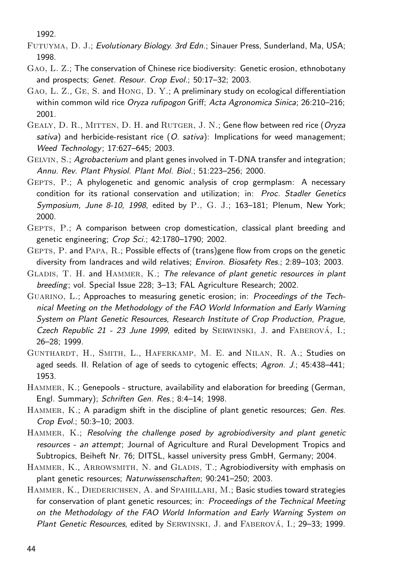1992.

- Futuyma, D. J.; Evolutionary Biology. 3rd Edn.; Sinauer Press, Sunderland, Ma, USA; 1998.
- Gao, L. Z.; The conservation of Chinese rice biodiversity: Genetic erosion, ethnobotany and prospects; Genet. Resour. Crop Evol.; 50:17–32; 2003.
- Gao, L. Z., Ge, S. and Hong, D. Y.; A preliminary study on ecological differentiation within common wild rice Oryza rufipogon Griff; Acta Agronomica Sinica; 26:210-216; 2001.
- GEALY, D. R., MITTEN, D. H. and RUTGER, J. N.; Gene flow between red rice (Oryza sativa) and herbicide-resistant rice  $(O, sative)$ : Implications for weed management; Weed Technology; 17:627–645; 2003.
- Gelvin, S.; Agrobacterium and plant genes involved in T-DNA transfer and integration; Annu. Rev. Plant Physiol. Plant Mol. Biol.; 51:223–256; 2000.
- Gepts, P.; A phylogenetic and genomic analysis of crop germplasm: A necessary condition for its rational conservation and utilization; in: Proc. Stadler Genetics Symposium, June 8-10, 1998, edited by  $P_1$ ,  $G_1$ ,  $J_2$ ; 163-181; Plenum, New York; 2000.
- Gepts, P.; A comparison between crop domestication, classical plant breeding and genetic engineering; Crop Sci.; 42:1780–1790; 2002.
- Gepts, P. and Papa, R.; Possible effects of (trans)gene flow from crops on the genetic diversity from landraces and wild relatives; Environ. Biosafety Res.; 2:89–103; 2003.
- GLADIS, T. H. and HAMMER, K.; The relevance of plant genetic resources in plant breeding; vol. Special Issue 228; 3–13; FAL Agriculture Research; 2002.
- Guarino, L.; Approaches to measuring genetic erosion; in: Proceedings of the Technical Meeting on the Methodology of the FAO World Information and Early Warning System on Plant Genetic Resources, Research Institute of Crop Production, Prague, Czech Republic 21 - 23 June 1999, edited by SERWINSKI, J. and FABEROVÁ, I.; 26–28; 1999.
- GUNTHARDT, H., SMITH, L., HAFERKAMP, M. E. and NILAN, R. A.; Studies on aged seeds. II. Relation of age of seeds to cytogenic effects; Agron. J.; 45:438–441; 1953.
- Hammer, K.; Genepools structure, availability and elaboration for breeding (German, Engl. Summary); Schriften Gen. Res.; 8:4–14; 1998.
- HAMMER, K.; A paradigm shift in the discipline of plant genetic resources; Gen. Res. Crop Evol.; 50:3–10; 2003.
- HAMMER, K.; Resolving the challenge posed by agrobiodiversity and plant genetic resources - an attempt; Journal of Agriculture and Rural Development Tropics and Subtropics, Beiheft Nr. 76; DITSL, kassel university press GmbH, Germany; 2004.
- HAMMER, K., ARROWSMITH, N. and GLADIS, T.; Agrobiodiversity with emphasis on plant genetic resources; Naturwissenschaften; 90:241–250; 2003.
- HAMMER, K., DIEDERICHSEN, A. and SPAHILLARI, M.; Basic studies toward strategies for conservation of plant genetic resources; in: Proceedings of the Technical Meeting on the Methodology of the FAO World Information and Early Warning System on Plant Genetic Resources, edited by SERWINSKI, J. and FABEROVÁ, I.; 29–33; 1999.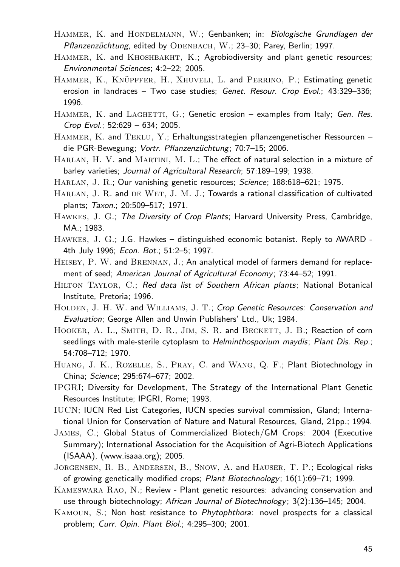- HAMMER, K. and HONDELMANN, W.; Genbanken; in: Biologische Grundlagen der Pflanzenzüchtung, edited by ODENBACH, W.; 23-30; Parey, Berlin; 1997.
- HAMMER, K. and KHOSHBAKHT, K.; Agrobiodiversity and plant genetic resources; Environmental Sciences; 4:2–22; 2005.
- HAMMER, K., KNÜPFFER, H., XHUVELI, L. and PERRINO, P.; Estimating genetic erosion in landraces - Two case studies; Genet. Resour. Crop Evol.; 43:329-336; 1996.
- HAMMER, K. and LAGHETTI, G.; Genetic erosion examples from Italy; Gen. Res. Crop Evol.; 52:629 – 634; 2005.
- Hammer, K. and Teklu, Y.; Erhaltungsstrategien pflanzengenetischer Ressourcen die PGR-Bewegung; Vortr. Pflanzenzüchtung; 70:7-15; 2006.
- Harlan, H. V. and Martini, M. L.; The effect of natural selection in a mixture of barley varieties; Journal of Agricultural Research; 57:189-199; 1938.
- HARLAN, J. R.; Our vanishing genetic resources; Science: 188:618-621: 1975.
- HARLAN, J. R. and DE WET, J. M. J.; Towards a rational classification of cultivated plants; Taxon.; 20:509–517; 1971.
- Hawkes, J. G.; The Diversity of Crop Plants; Harvard University Press, Cambridge, MA.; 1983.
- Hawkes, J. G.; J.G. Hawkes distinguished economic botanist. Reply to AWARD 4th July 1996; Econ. Bot.; 51:2–5; 1997.
- HEISEY, P. W. and BRENNAN, J.; An analytical model of farmers demand for replacement of seed; American Journal of Agricultural Economy; 73:44–52; 1991.
- HILTON TAYLOR, C.; Red data list of Southern African plants; National Botanical Institute, Pretoria; 1996.
- HOLDEN, J. H. W. and WILLIAMS, J. T.; Crop Genetic Resources: Conservation and Evaluation; George Allen and Unwin Publishers' Ltd., Uk; 1984.
- HOOKER, A. L., SMITH, D. R., JIM, S. R. and BECKETT, J. B.; Reaction of corn seedlings with male-sterile cytoplasm to Helminthosporium maydis; Plant Dis. Rep.; 54:708–712; 1970.
- Huang, J. K., Rozelle, S., Pray, C. and Wang, Q. F.; Plant Biotechnology in China; Science; 295:674–677; 2002.
- IPGRI; Diversity for Development, The Strategy of the International Plant Genetic Resources Institute; IPGRI, Rome; 1993.
- IUCN; IUCN Red List Categories, IUCN species survival commission, Gland; International Union for Conservation of Nature and Natural Resources, Gland, 21pp.; 1994.
- James, C.; Global Status of Commercialized Biotech/GM Crops: 2004 (Executive Summary); International Association for the Acquisition of Agri-Biotech Applications (ISAAA), (www.isaaa.org); 2005.
- Jorgensen, R. B., Andersen, B., Snow, A. and Hauser, T. P.; Ecological risks of growing genetically modified crops; Plant Biotechnology; 16(1):69–71; 1999.
- Kameswara Rao, N.; Review Plant genetic resources: advancing conservation and use through biotechnology; African Journal of Biotechnology; 3(2):136–145; 2004.
- Kamoun, S.; Non host resistance to Phytophthora: novel prospects for a classical problem; Curr. Opin. Plant Biol.; 4:295–300; 2001.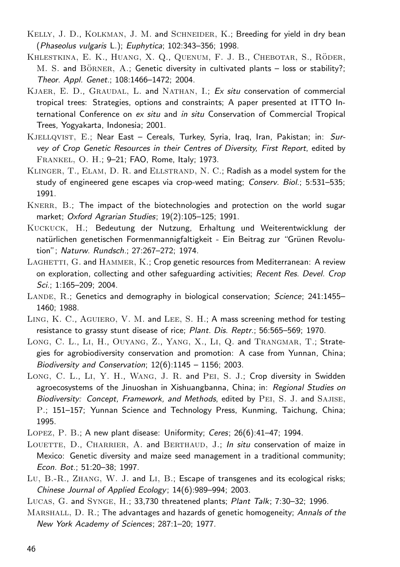- KELLY, J. D., KOLKMAN, J. M. and SCHNEIDER, K.; Breeding for yield in dry bean (Phaseolus vulgaris L.); Euphytica; 102:343–356; 1998.
- KHLESTKINA, E. K., HUANG, X. Q., QUENUM, F. J. B., CHEBOTAR, S., RÖDER,  $M. S.$  and  $B\ddot{o}$ RNER,  $A.$ ; Genetic diversity in cultivated plants – loss or stability?; Theor. Appl. Genet.; 108:1466–1472; 2004.
- KJAER, E. D., GRAUDAL, L. and NATHAN, I.; Ex situ conservation of commercial tropical trees: Strategies, options and constraints; A paper presented at ITTO International Conference on ex situ and in situ Conservation of Commercial Tropical Trees, Yogyakarta, Indonesia; 2001.
- KJELLQVIST, E.; Near East Cereals, Turkey, Syria, Iraq, Iran, Pakistan; in: Survey of Crop Genetic Resources in their Centres of Diversity, First Report, edited by Frankel, O. H.; 9–21; FAO, Rome, Italy; 1973.
- KLINGER, T., ELAM, D. R. and ELLSTRAND, N. C.; Radish as a model system for the study of engineered gene escapes via crop-weed mating; Conserv. Biol.; 5:531–535; 1991.
- KNERR, B.; The impact of the biotechnologies and protection on the world sugar market; Oxford Agrarian Studies; 19(2):105-125; 1991.
- Kuckuck, H.; Bedeutung der Nutzung, Erhaltung und Weiterentwicklung der natürlichen genetischen Formenmannigfaltigkeit - Ein Beitrag zur "Grünen Revolution"; Naturw. Rundsch.; 27:267–272; 1974.
- $L$ AGHETTI,  $G$ . and  $H$ AMMER,  $K$ .; Crop genetic resources from Mediterranean: A review on exploration, collecting and other safeguarding activities; Recent Res. Devel. Crop Sci.; 1:165–209; 2004.
- LANDE, R.; Genetics and demography in biological conservation; Science; 241:1455– 1460; 1988.
- LING, K. C., AGUIERO, V. M. and LEE, S. H.; A mass screening method for testing resistance to grassy stunt disease of rice; Plant. Dis. Reptr.; 56:565–569; 1970.
- Long, C. L., Li, H., Ouyang, Z., Yang, X., Li, Q. and Trangmar, T.; Strategies for agrobiodiversity conservation and promotion: A case from Yunnan, China; Biodiversity and Conservation;  $12(6):1145 - 1156$ ; 2003.
- Long, C. L., Li, Y. H., Wang, J. R. and Pei, S. J.; Crop diversity in Swidden agroecosystems of the Jinuoshan in Xishuangbanna, China; in: Regional Studies on Biodiversity: Concept, Framework, and Methods, edited by PEI, S. J. and SAJISE, P.; 151–157; Yunnan Science and Technology Press, Kunming, Taichung, China; 1995.
- Lopez, P. B.; A new plant disease: Uniformity; Ceres; 26(6):41–47; 1994.
- LOUETTE, D., CHARRIER, A. and BERTHAUD, J.; In situ conservation of maize in Mexico: Genetic diversity and maize seed management in a traditional community; Econ. Bot.; 51:20–38; 1997.
- Lu, B.-R., Zhang, W. J. and Li, B.; Escape of transgenes and its ecological risks; Chinese Journal of Applied Ecology; 14(6):989–994; 2003.
- Lucas, G. and Synge, H.; 33,730 threatened plants; Plant Talk; 7:30–32; 1996.
- MARSHALL, D. R.; The advantages and hazards of genetic homogeneity; Annals of the New York Academy of Sciences; 287:1–20; 1977.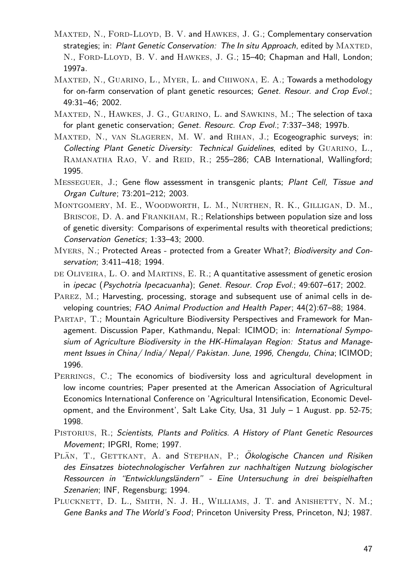- MAXTED, N., FORD-LLOYD, B. V. and HAWKES, J. G.; Complementary conservation strategies; in: Plant Genetic Conservation: The In situ Approach, edited by MAXTED, N., FORD-LLOYD, B. V. and HAWKES, J. G.; 15-40; Chapman and Hall, London; 1997a.
- MAXTED, N., GUARINO, L., MYER, L. and CHIWONA, E. A.; Towards a methodology for on-farm conservation of plant genetic resources; Genet. Resour. and Crop Evol.; 49:31–46; 2002.
- Maxted, N., Hawkes, J. G., Guarino, L. and Sawkins, M.; The selection of taxa for plant genetic conservation; Genet. Resourc. Crop Evol.; 7:337-348; 1997b.
- MAXTED, N., VAN SLAGEREN, M. W. and RIHAN, J.; Ecogeographic surveys; in: Collecting Plant Genetic Diversity: Technical Guidelines, edited by GUARINO, L., RAMANATHA RAO, V. and REID, R.; 255-286; CAB International, Wallingford; 1995.
- MESSEGUER, J.; Gene flow assessment in transgenic plants; Plant Cell, Tissue and Organ Culture; 73:201–212; 2003.
- Montgomery, M. E., Woodworth, L. M., Nurthen, R. K., Gilligan, D. M., BRISCOE, D. A. and FRANKHAM, R.; Relationships between population size and loss of genetic diversity: Comparisons of experimental results with theoretical predictions; Conservation Genetics; 1:33–43; 2000.
- Myers, N.; Protected Areas protected from a Greater What?; Biodiversity and Conservation; 3:411–418; 1994.
- DE OLIVEIRA,  $L. O.$  and MARTINS,  $E. R.$ ; A quantitative assessment of genetic erosion in ipecac (Psychotria Ipecacuanha); Genet. Resour. Crop Evol.; 49:607–617; 2002.
- PAREZ, M.; Harvesting, processing, storage and subsequent use of animal cells in developing countries; FAO Animal Production and Health Paper; 44(2):67–88; 1984.
- Partap, T.; Mountain Agriculture Biodiversity Perspectives and Framework for Management. Discussion Paper, Kathmandu, Nepal: ICIMOD; in: International Symposium of Agriculture Biodiversity in the HK-Himalayan Region: Status and Management Issues in China/ India/ Nepal/ Pakistan. June, 1996, Chengdu, China; ICIMOD; 1996.
- PERRINGS, C.; The economics of biodiversity loss and agricultural development in low income countries; Paper presented at the American Association of Agricultural Economics International Conference on 'Agricultural Intensification, Economic Development, and the Environment', Salt Lake City, Usa, 31 July – 1 August. pp. 52-75; 1998.
- PISTORIUS, R.; Scientists, Plants and Politics. A History of Plant Genetic Resources Movement; IPGRI, Rome; 1997.
- PLÄN, T., GETTKANT, A. and STEPHAN, P.; Ökologische Chancen und Risiken des Einsatzes biotechnologischer Verfahren zur nachhaltigen Nutzung biologischer Ressourcen in "Entwicklungsländern" - Eine Untersuchung in drei beispielhaften Szenarien; INF, Regensburg; 1994.
- PLUCKNETT, D. L., SMITH, N. J. H., WILLIAMS, J. T. and ANISHETTY, N. M.; Gene Banks and The World's Food; Princeton University Press, Princeton, NJ; 1987.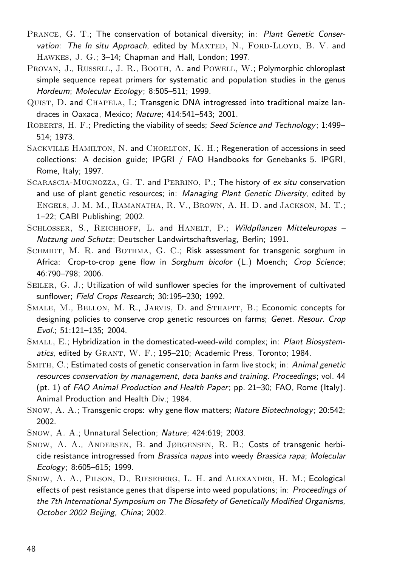- Prance, G. T.; The conservation of botanical diversity; in: Plant Genetic Conservation: The In situ Approach, edited by MAXTED, N., FORD-LLOYD, B. V. and Hawkes, J. G.; 3–14; Chapman and Hall, London; 1997.
- PROVAN, J., RUSSELL, J. R., BOOTH, A. and POWELL, W.; Polymorphic chloroplast simple sequence repeat primers for systematic and population studies in the genus Hordeum; Molecular Ecology; 8:505–511; 1999.
- Quist, D. and Chapela, I.; Transgenic DNA introgressed into traditional maize landraces in Oaxaca, Mexico; Nature; 414:541–543; 2001.
- ROBERTS, H. F.; Predicting the viability of seeds; Seed Science and Technology; 1:499-514; 1973.
- SACKVILLE HAMILTON, N. and CHORLTON, K. H.; Regeneration of accessions in seed collections: A decision guide; IPGRI / FAO Handbooks for Genebanks 5. IPGRI, Rome, Italy; 1997.
- SCARASCIA-MUGNOZZA, G. T. and PERRINO, P.; The history of ex situ conservation and use of plant genetic resources; in: Managing Plant Genetic Diversity, edited by Engels, J. M. M., Ramanatha, R. V., Brown, A. H. D. and Jackson, M. T.; 1–22; CABI Publishing; 2002.
- SCHLOSSER, S., REICHHOFF, L. and HANELT, P.; Wildpflanzen Mitteleuropas -Nutzung und Schutz; Deutscher Landwirtschaftsverlag, Berlin; 1991.
- SCHMIDT, M. R. and BOTHMA, G. C.; Risk assessment for transgenic sorghum in Africa: Crop-to-crop gene flow in Sorghum bicolor (L.) Moench; Crop Science; 46:790–798; 2006.
- SEILER, G. J.; Utilization of wild sunflower species for the improvement of cultivated sunflower; Field Crops Research; 30:195–230; 1992.
- Smale, M., Bellon, M. R., Jarvis, D. and Sthapit, B.; Economic concepts for designing policies to conserve crop genetic resources on farms; Genet. Resour. Crop Evol.; 51:121–135; 2004.
- SMALL, E.; Hybridization in the domesticated-weed-wild complex; in: Plant Biosystematics, edited by GRANT, W. F.; 195-210; Academic Press, Toronto; 1984.
- SMITH, C.; Estimated costs of genetic conservation in farm live stock; in: Animal genetic resources conservation by management, data banks and training. Proceedings; vol. 44 (pt. 1) of FAO Animal Production and Health Paper; pp. 21–30; FAO, Rome (Italy). Animal Production and Health Div.; 1984.
- Snow, A. A.; Transgenic crops: why gene flow matters; Nature Biotechnology; 20:542; 2002.
- Snow, A. A.; Unnatural Selection; Nature; 424:619; 2003.
- Snow, A. A., Andersen, B. and Jørgensen, R. B.; Costs of transgenic herbicide resistance introgressed from Brassica napus into weedy Brassica rapa; Molecular Ecology; 8:605–615; 1999.
- SNOW, A. A., PILSON, D., RIESEBERG, L. H. and ALEXANDER, H. M.; Ecological effects of pest resistance genes that disperse into weed populations; in: Proceedings of the 7th International Symposium on The Biosafety of Genetically Modified Organisms, October 2002 Beijing, China; 2002.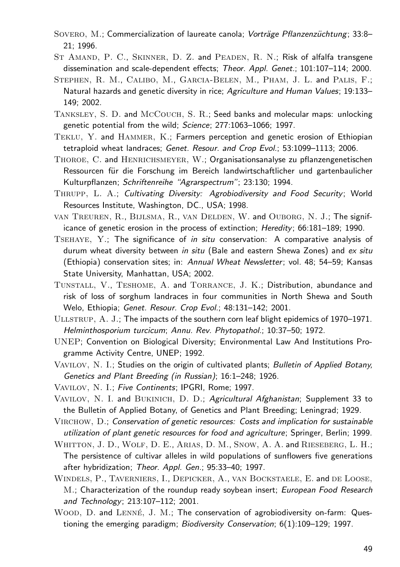- SOVERO, M.; Commercialization of laureate canola; Vorträge Pflanzenzüchtung; 33:8– 21; 1996.
- ST AMAND, P. C., SKINNER, D. Z. and PEADEN, R. N.; Risk of alfalfa transgene dissemination and scale-dependent effects; Theor. Appl. Genet.; 101:107–114; 2000.
- Stephen, R. M., Calibo, M., Garcia-Belen, M., Pham, J. L. and Palis, F.; Natural hazards and genetic diversity in rice; Agriculture and Human Values; 19:133-149; 2002.
- Tanksley, S. D. and McCouch, S. R.; Seed banks and molecular maps: unlocking genetic potential from the wild; Science; 277:1063-1066; 1997.
- Teklu, Y. and Hammer, K.; Farmers perception and genetic erosion of Ethiopian tetraploid wheat landraces; Genet. Resour. and Crop Evol.; 53:1099–1113; 2006.
- Thoroe, C. and Henrichsmeyer, W.; Organisationsanalyse zu pflanzengenetischen Ressourcen für die Forschung im Bereich landwirtschaftlicher und gartenbaulicher Kulturpflanzen; Schriftenreihe "Agrarspectrum"; 23:130; 1994.
- Thrupp, L. A.; Cultivating Diversity: Agrobiodiversity and Food Security; World Resources Institute, Washington, DC., USA; 1998.
- van Treuren, R., Bijlsma, R., van Delden, W. and Ouborg, N. J.; The significance of genetic erosion in the process of extinction; Heredity; 66:181–189; 1990.
- Tsehaye, Y.; The significance of in situ conservation: A comparative analysis of durum wheat diversity between in situ (Bale and eastern Shewa Zones) and ex situ (Ethiopia) conservation sites; in: Annual Wheat Newsletter; vol. 48; 54–59; Kansas State University, Manhattan, USA; 2002.
- Tunstall, V., Teshome, A. and Torrance, J. K.; Distribution, abundance and risk of loss of sorghum landraces in four communities in North Shewa and South Welo, Ethiopia; Genet. Resour. Crop Evol.; 48:131–142; 2001.
- Ullstrup, A. J.; The impacts of the southern corn leaf blight epidemics of 1970–1971. Helminthosporium turcicum; Annu. Rev. Phytopathol.; 10:37–50; 1972.
- UNEP; Convention on Biological Diversity; Environmental Law And Institutions Programme Activity Centre, UNEP; 1992.
- VAVILOV, N. I.; Studies on the origin of cultivated plants; Bulletin of Applied Botany, Genetics and Plant Breeding (in Russian); 16:1–248; 1926.
- Vavilov, N. I.; Five Continents; IPGRI, Rome; 1997.
- VAVILOV, N. I. and BUKINICH, D. D.; Agricultural Afghanistan; Supplement 33 to the Bulletin of Applied Botany, of Genetics and Plant Breeding; Leningrad; 1929.
- Virchow, D.; Conservation of genetic resources: Costs and implication for sustainable utilization of plant genetic resources for food and agriculture; Springer, Berlin; 1999.
- WHITTON, J. D., WOLF, D. E., ARIAS, D. M., SNOW, A. A. and RIESEBERG, L. H.; The persistence of cultivar alleles in wild populations of sunflowers five generations after hybridization; Theor. Appl. Gen.; 95:33-40; 1997.
- Windels, P., Taverniers, I., Depicker, A., van Bockstaele, E. and de Loose, M.; Characterization of the roundup ready soybean insert; European Food Research and Technology; 213:107–112; 2001.
- WOOD, D. and LENNÉ, J. M.; The conservation of agrobiodiversity on-farm: Questioning the emerging paradigm; Biodiversity Conservation; 6(1):109–129; 1997.